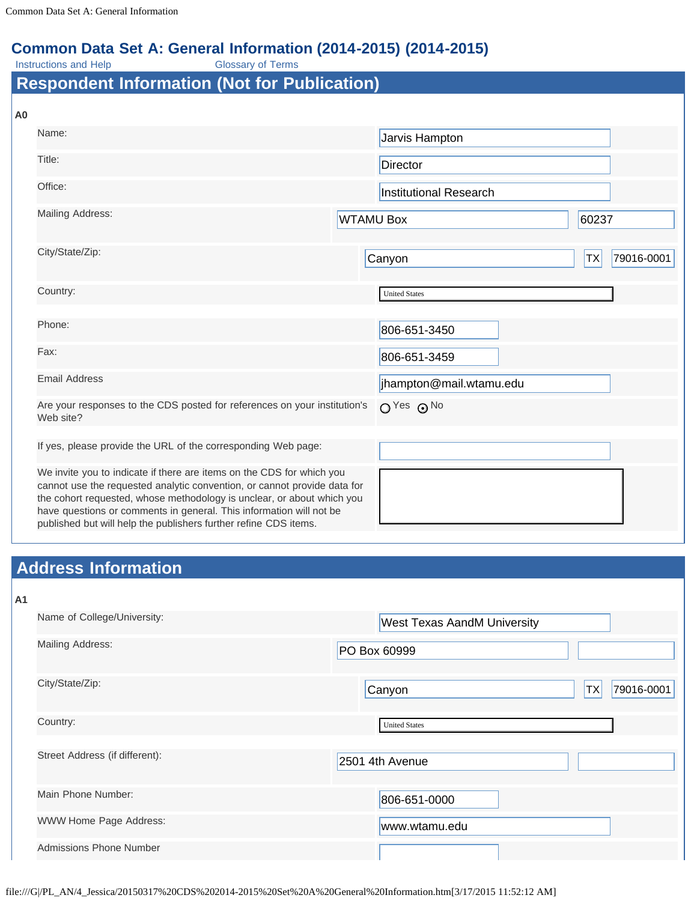### **Common Data Set A: General Information (2014-2015) (2014-2015)**

|    | <b>Instructions and Help</b> | <b>Glossary of Terms</b>                                                                                                                                                                                                                                                                                                                                               |                               |       |            |
|----|------------------------------|------------------------------------------------------------------------------------------------------------------------------------------------------------------------------------------------------------------------------------------------------------------------------------------------------------------------------------------------------------------------|-------------------------------|-------|------------|
|    |                              | <b>Respondent Information (Not for Publication)</b>                                                                                                                                                                                                                                                                                                                    |                               |       |            |
| A0 |                              |                                                                                                                                                                                                                                                                                                                                                                        |                               |       |            |
|    | Name:                        |                                                                                                                                                                                                                                                                                                                                                                        | Jarvis Hampton                |       |            |
|    | Title:                       |                                                                                                                                                                                                                                                                                                                                                                        | <b>Director</b>               |       |            |
|    | Office:                      |                                                                                                                                                                                                                                                                                                                                                                        | <b>Institutional Research</b> |       |            |
|    | Mailing Address:             |                                                                                                                                                                                                                                                                                                                                                                        | <b>WTAMU Box</b>              | 60237 |            |
|    | City/State/Zip:              |                                                                                                                                                                                                                                                                                                                                                                        | Canyon                        | TX    | 79016-0001 |
|    | Country:                     |                                                                                                                                                                                                                                                                                                                                                                        | <b>United States</b>          |       |            |
|    | Phone:                       |                                                                                                                                                                                                                                                                                                                                                                        | 806-651-3450                  |       |            |
|    | Fax:                         |                                                                                                                                                                                                                                                                                                                                                                        | 806-651-3459                  |       |            |
|    | <b>Email Address</b>         |                                                                                                                                                                                                                                                                                                                                                                        | jhampton@mail.wtamu.edu       |       |            |
|    | Web site?                    | Are your responses to the CDS posted for references on your institution's                                                                                                                                                                                                                                                                                              | $OYes ONo$                    |       |            |
|    |                              | If yes, please provide the URL of the corresponding Web page:                                                                                                                                                                                                                                                                                                          |                               |       |            |
|    |                              | We invite you to indicate if there are items on the CDS for which you<br>cannot use the requested analytic convention, or cannot provide data for<br>the cohort requested, whose methodology is unclear, or about which you<br>have questions or comments in general. This information will not be<br>published but will help the publishers further refine CDS items. |                               |       |            |
|    | <b>Address Information</b>   |                                                                                                                                                                                                                                                                                                                                                                        |                               |       |            |

| A <sub>1</sub> |                                |                                    |
|----------------|--------------------------------|------------------------------------|
|                | Name of College/University:    | <b>West Texas AandM University</b> |
|                | <b>Mailing Address:</b>        | PO Box 60999                       |
|                | City/State/Zip:                | <b>TX</b><br>79016-0001<br>Canyon  |
|                | Country:                       | <b>United States</b>               |
|                | Street Address (if different): | 2501 4th Avenue                    |
|                | Main Phone Number:             | 806-651-0000                       |
|                | WWW Home Page Address:         | www.wtamu.edu                      |
|                | <b>Admissions Phone Number</b> |                                    |

file:///G|/PL\_AN/4\_Jessica/20150317%20CDS%202014-2015%20Set%20A%20General%20Information.htm[3/17/2015 11:52:12 AM]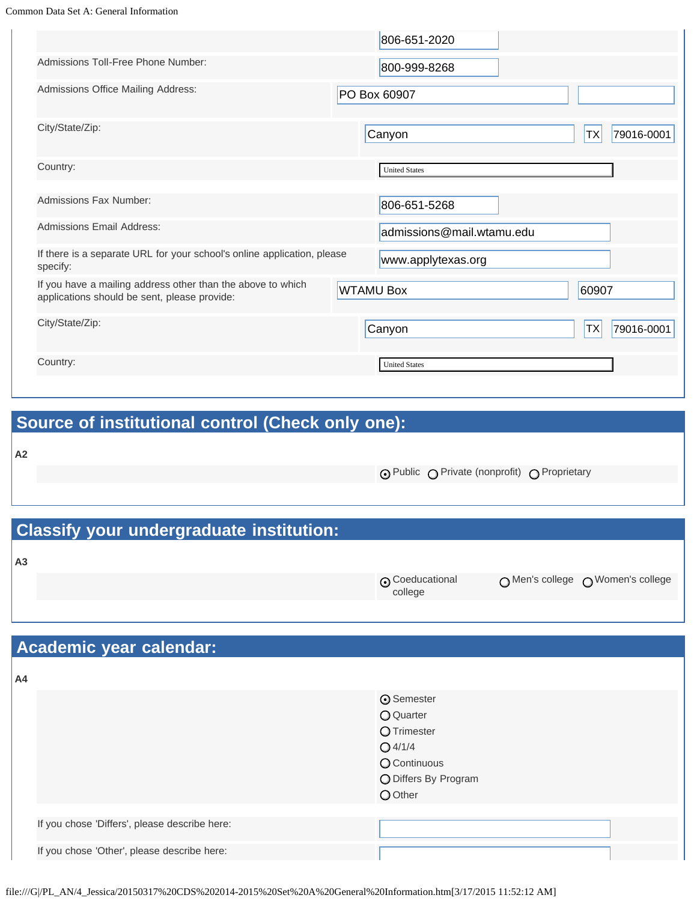|                                                                                                             | 806-651-2020                      |
|-------------------------------------------------------------------------------------------------------------|-----------------------------------|
| Admissions Toll-Free Phone Number:                                                                          | 800-999-8268                      |
| Admissions Office Mailing Address:                                                                          | PO Box 60907                      |
| City/State/Zip:                                                                                             | TX<br>79016-0001<br>Canyon        |
| Country:                                                                                                    | <b>United States</b>              |
| Admissions Fax Number:                                                                                      | 806-651-5268                      |
| <b>Admissions Email Address:</b>                                                                            | admissions@mail.wtamu.edu         |
| If there is a separate URL for your school's online application, please<br>specify:                         | www.applytexas.org                |
| If you have a mailing address other than the above to which<br>applications should be sent, please provide: | <b>WTAMU Box</b><br>60907         |
| City/State/Zip:                                                                                             | <b>ΤX</b><br>79016-0001<br>Canyon |
| Country:                                                                                                    | <b>United States</b>              |

## **Source of institutional control (Check only one):**

**A2**

O Public O Private (nonprofit) O Proprietary

|  |  | <b>Classify your undergraduate institution:</b> |
|--|--|-------------------------------------------------|
|  |  |                                                 |

**A3**

| <b>O</b> Coeducational |
|------------------------|
| college                |

O Men's college O Women's college

| <b>Academic year calendar:</b> |  |  |
|--------------------------------|--|--|
|                                |  |  |

**A4**

| ١4                                            |                                                                                                                             |
|-----------------------------------------------|-----------------------------------------------------------------------------------------------------------------------------|
|                                               | <b>⊙</b> Semester<br><b>Q</b> Quarter<br><b>O</b> Trimester<br>$Q$ 4/1/4<br>O Continuous<br>O Differs By Program<br>O Other |
| If you chose 'Differs', please describe here: |                                                                                                                             |
| If you chose 'Other', please describe here:   |                                                                                                                             |

file:///G|/PL\_AN/4\_Jessica/20150317%20CDS%202014-2015%20Set%20A%20General%20Information.htm[3/17/2015 11:52:12 AM]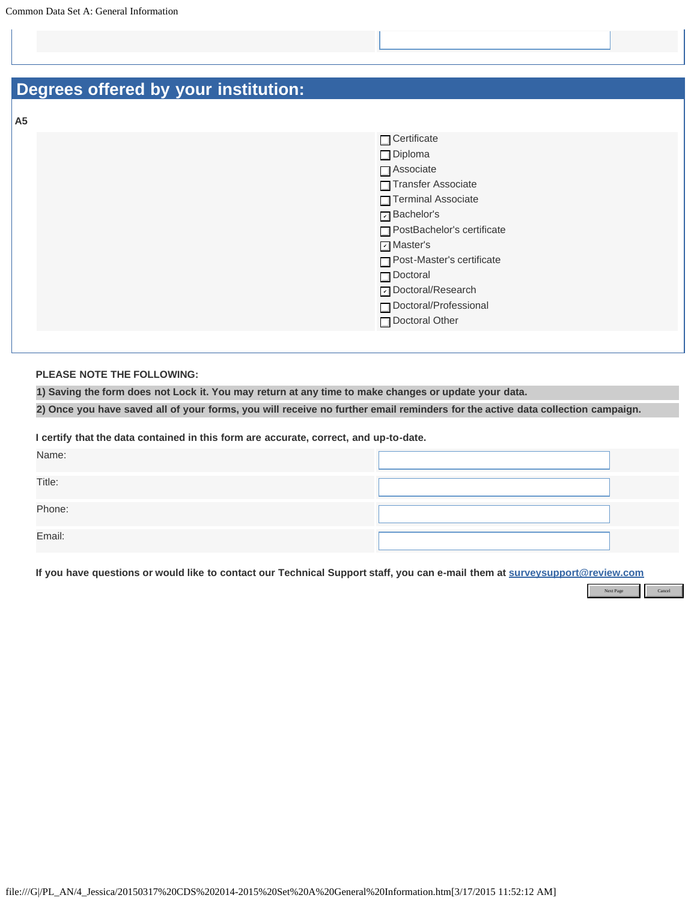## **Degrees offered by your institution:**

**A5**

| чэ |                            |
|----|----------------------------|
|    | $\Box$ Certificate         |
|    | $\Box$ Diploma             |
|    | $\Box$ Associate           |
|    | Transfer Associate         |
|    | Terminal Associate         |
|    | <b>□</b> Bachelor's        |
|    | PostBachelor's certificate |
|    | <b>□</b> Master's          |
|    | Post-Master's certificate  |
|    | $\Box$ Doctoral            |
|    | Doctoral/Research          |
|    | Doctoral/Professional      |
|    | Doctoral Other             |
|    |                            |

#### **PLEASE NOTE THE FOLLOWING:**

**1) Saving the form does not Lock it. You may return at any time to make changes or update your data.**

**2) Once you have saved all of your forms, you will receive no further email reminders for the active data collection campaign.**

#### **I certify that the data contained in this form are accurate, correct, and up-to-date.**

| Name:  |  |
|--------|--|
| Title: |  |
| Phone: |  |
| Email: |  |

Next Page Cancel

**If you have questions or would like to contact our Technical Support staff, you can e-mail them at [surveysupport@review.com](mailto:surveysupport@review.com)**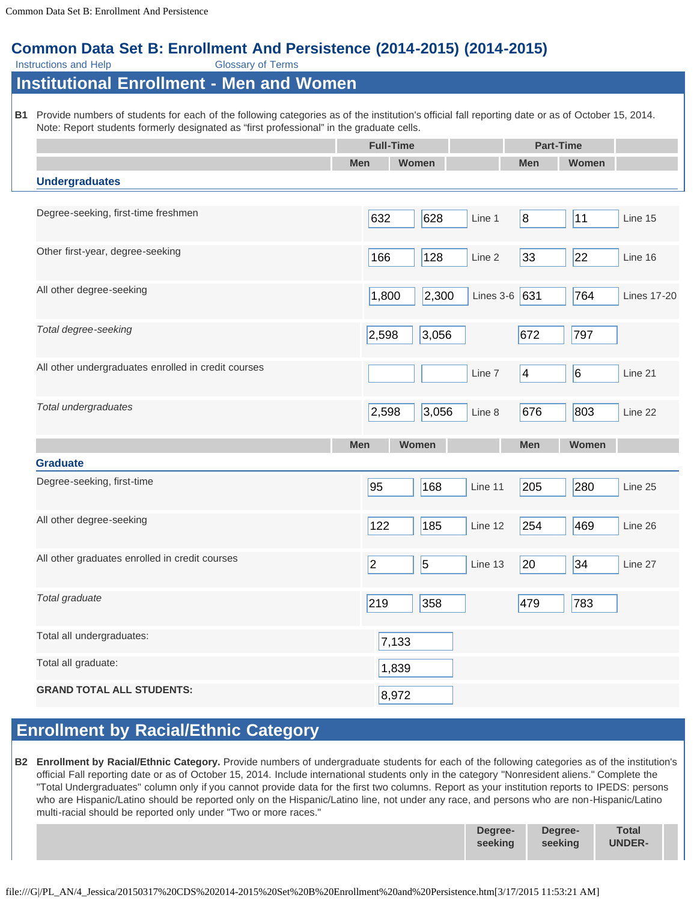### **Common Data Set B: Enrollment And Persistence (2014-2015) (2014-2015)**

|    | <b>Instructions and Help</b>                                                                                                                                                                                                                 | <b>Glossary of Terms</b> |                  |                                                                 |                 |                         |       |                    |
|----|----------------------------------------------------------------------------------------------------------------------------------------------------------------------------------------------------------------------------------------------|--------------------------|------------------|-----------------------------------------------------------------|-----------------|-------------------------|-------|--------------------|
|    | <b>Institutional Enrollment - Men and Women</b>                                                                                                                                                                                              |                          |                  |                                                                 |                 |                         |       |                    |
| B1 | Provide numbers of students for each of the following categories as of the institution's official fall reporting date or as of October 15, 2014.<br>Note: Report students formerly designated as "first professional" in the graduate cells. |                          |                  |                                                                 |                 |                         |       |                    |
|    |                                                                                                                                                                                                                                              |                          | <b>Full-Time</b> |                                                                 |                 | <b>Part-Time</b>        |       |                    |
|    |                                                                                                                                                                                                                                              |                          | <b>Men</b>       | Women                                                           |                 | Men                     | Women |                    |
|    | <b>Undergraduates</b>                                                                                                                                                                                                                        |                          |                  |                                                                 |                 |                         |       |                    |
|    | Degree-seeking, first-time freshmen                                                                                                                                                                                                          |                          | 632              | 628                                                             | Line 1          | $\overline{\mathbf{8}}$ | 11    | Line 15            |
|    | Other first-year, degree-seeking                                                                                                                                                                                                             |                          | 166              | 128                                                             | Line 2          | 33                      | 22    | Line 16            |
|    | All other degree-seeking                                                                                                                                                                                                                     |                          | 1,800            | 2,300                                                           | Lines $3-6$ 631 |                         | 764   | <b>Lines 17-20</b> |
|    | Total degree-seeking                                                                                                                                                                                                                         |                          | 2,598            | 3,056                                                           |                 | 672                     | 797   |                    |
|    | All other undergraduates enrolled in credit courses                                                                                                                                                                                          |                          |                  |                                                                 | Line 7          | $\vert 4 \vert$         | 6     | Line 21            |
|    | Total undergraduates                                                                                                                                                                                                                         |                          | 2,598            | 3,056                                                           | Line 8          | 676                     | 803   | Line 22            |
|    |                                                                                                                                                                                                                                              |                          | <b>Men</b>       | Women                                                           |                 | Men                     | Women |                    |
|    | <b>Graduate</b>                                                                                                                                                                                                                              |                          |                  |                                                                 |                 |                         |       |                    |
|    | Degree-seeking, first-time                                                                                                                                                                                                                   |                          | 95               | 168                                                             | Line 11         | 205                     | 280   | Line 25            |
|    | All other degree-seeking                                                                                                                                                                                                                     |                          | 122              | 185                                                             | Line 12         | 254                     | 469   | Line 26            |
|    | All other graduates enrolled in credit courses                                                                                                                                                                                               |                          |                  | $\begin{array}{ c c c }\n\hline\n2 & 5 & \\\hline\n\end{array}$ | Line 13         | 20                      | 34    | Line 27            |
|    | Total graduate                                                                                                                                                                                                                               |                          | 219              | 358                                                             |                 | 479                     | 783   |                    |
|    | Total all undergraduates:                                                                                                                                                                                                                    |                          |                  | 7,133                                                           |                 |                         |       |                    |
|    | Total all graduate:                                                                                                                                                                                                                          |                          |                  | 1,839                                                           |                 |                         |       |                    |
|    | <b>GRAND TOTAL ALL STUDENTS:</b>                                                                                                                                                                                                             |                          |                  | 8,972                                                           |                 |                         |       |                    |

### **Enrollment by Racial/Ethnic Category**

**B2 Enrollment by Racial/Ethnic Category.** Provide numbers of undergraduate students for each of the following categories as of the institution's official Fall reporting date or as of October 15, 2014. Include international students only in the category "Nonresident aliens." Complete the "Total Undergraduates" column only if you cannot provide data for the first two columns. Report as your institution reports to IPEDS: persons who are Hispanic/Latino should be reported only on the Hispanic/Latino line, not under any race, and persons who are non-Hispanic/Latino multi-racial should be reported only under "Two or more races."

| Degree-<br>Degree-<br>seeking<br>seeking | <b>Total</b><br>UNDER- |  |
|------------------------------------------|------------------------|--|
|------------------------------------------|------------------------|--|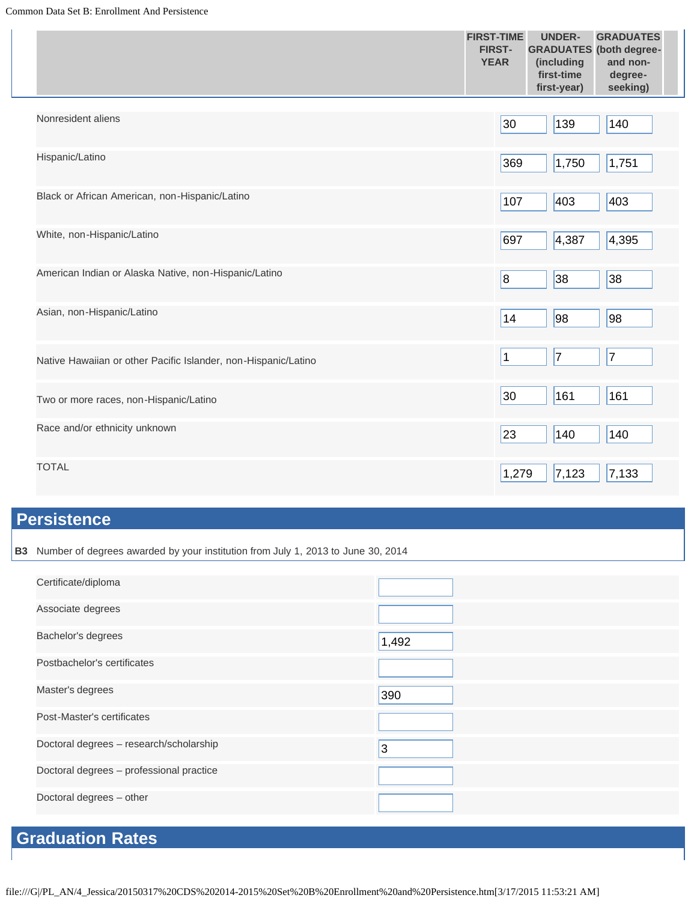|                                                                | <b>FIRST-TIME</b><br><b>FIRST-</b><br><b>YEAR</b> | <b>UNDER-</b><br><b>GRADUATES</b> (both degree-<br>(including<br>first-time<br>first-year) | <b>GRADUATES</b><br>and non-<br>degree-<br>seeking) |
|----------------------------------------------------------------|---------------------------------------------------|--------------------------------------------------------------------------------------------|-----------------------------------------------------|
| Nonresident aliens                                             | 30                                                | 139                                                                                        | 140                                                 |
| Hispanic/Latino                                                | 369                                               | 1,750                                                                                      | 1,751                                               |
| Black or African American, non-Hispanic/Latino                 | 107                                               | 403                                                                                        | 403                                                 |
| White, non-Hispanic/Latino                                     | 697                                               | 4,387                                                                                      | 4,395                                               |
| American Indian or Alaska Native, non-Hispanic/Latino          | 8                                                 | 38                                                                                         | 38                                                  |
| Asian, non-Hispanic/Latino                                     | 14                                                | 98                                                                                         | 98                                                  |
| Native Hawaiian or other Pacific Islander, non-Hispanic/Latino | $\mathbf{1}$                                      | 17                                                                                         | $\overline{7}$                                      |
| Two or more races, non-Hispanic/Latino                         | 30                                                | 161                                                                                        | 161                                                 |
| Race and/or ethnicity unknown                                  | 23                                                | 140                                                                                        | 140                                                 |
| <b>TOTAL</b>                                                   | 1,279                                             | 7,123                                                                                      | 7,133                                               |

### **Persistence**

|  | B3 Number of degrees awarded by your institution from July 1, 2013 to June 30, 2014 |  |  |  |  |  |  |  |  |  |  |  |
|--|-------------------------------------------------------------------------------------|--|--|--|--|--|--|--|--|--|--|--|
|--|-------------------------------------------------------------------------------------|--|--|--|--|--|--|--|--|--|--|--|

| Certificate/diploma                      |       |
|------------------------------------------|-------|
| Associate degrees                        |       |
| Bachelor's degrees                       | 1,492 |
| Postbachelor's certificates              |       |
| Master's degrees                         | 390   |
| Post-Master's certificates               |       |
| Doctoral degrees - research/scholarship  | 3     |
| Doctoral degrees - professional practice |       |
| Doctoral degrees - other                 |       |

### **Graduation Rates**

file:///G|/PL\_AN/4\_Jessica/20150317%20CDS%202014-2015%20Set%20B%20Enrollment%20and%20Persistence.htm[3/17/2015 11:53:21 AM]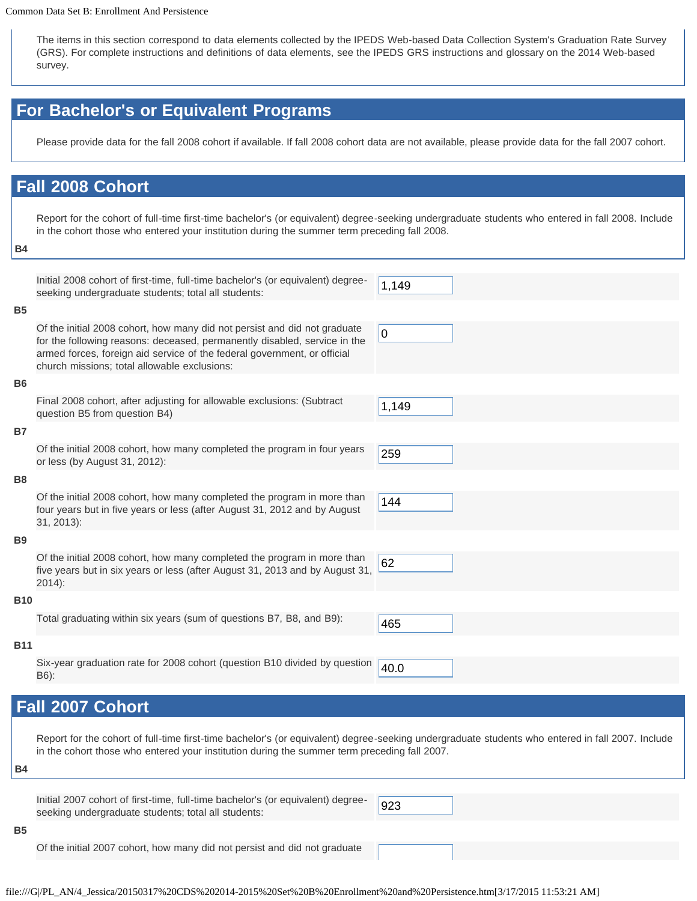#### Common Data Set B: Enrollment And Persistence

The items in this section correspond to data elements collected by the IPEDS Web-based Data Collection System's Graduation Rate Survey (GRS). For complete instructions and definitions of data elements, see the IPEDS GRS instructions and glossary on the 2014 Web-based survey.

### **For Bachelor's or Equivalent Programs**

Please provide data for the fall 2008 cohort if available. If fall 2008 cohort data are not available, please provide data for the fall 2007 cohort.

### **Fall 2008 Cohort**

**B4**

Report for the cohort of full-time first-time bachelor's (or equivalent) degree-seeking undergraduate students who entered in fall 2008. Include in the cohort those who entered your institution during the summer term preceding fall 2008.

|                | Initial 2008 cohort of first-time, full-time bachelor's (or equivalent) degree-<br>seeking undergraduate students; total all students:                                                                                                                                             | 1,149 |
|----------------|------------------------------------------------------------------------------------------------------------------------------------------------------------------------------------------------------------------------------------------------------------------------------------|-------|
| <b>B5</b>      |                                                                                                                                                                                                                                                                                    |       |
|                | Of the initial 2008 cohort, how many did not persist and did not graduate<br>for the following reasons: deceased, permanently disabled, service in the<br>armed forces, foreign aid service of the federal government, or official<br>church missions; total allowable exclusions: | ۱o    |
| <b>B6</b>      |                                                                                                                                                                                                                                                                                    |       |
|                | Final 2008 cohort, after adjusting for allowable exclusions: (Subtract<br>question B5 from question B4)                                                                                                                                                                            | 1,149 |
| <b>B7</b>      |                                                                                                                                                                                                                                                                                    |       |
|                | Of the initial 2008 cohort, how many completed the program in four years<br>or less (by August 31, 2012):                                                                                                                                                                          | 259   |
| B <sub>8</sub> |                                                                                                                                                                                                                                                                                    |       |
|                | Of the initial 2008 cohort, how many completed the program in more than<br>four years but in five years or less (after August 31, 2012 and by August<br>$31, 2013$ :                                                                                                               | 144   |
| <b>B9</b>      |                                                                                                                                                                                                                                                                                    |       |
|                | Of the initial 2008 cohort, how many completed the program in more than<br>five years but in six years or less (after August 31, 2013 and by August 31,<br>$2014$ :                                                                                                                | 62    |
| <b>B10</b>     |                                                                                                                                                                                                                                                                                    |       |
|                | Total graduating within six years (sum of questions B7, B8, and B9):                                                                                                                                                                                                               | 465   |
| <b>B11</b>     |                                                                                                                                                                                                                                                                                    |       |
|                | Six-year graduation rate for 2008 cohort (question B10 divided by question<br>B6):                                                                                                                                                                                                 | 40.0  |

### **Fall 2007 Cohort**

Report for the cohort of full-time first-time bachelor's (or equivalent) degree-seeking undergraduate students who entered in fall 2007. Include in the cohort those who entered your institution during the summer term preceding fall 2007.

**B4**

Initial 2007 cohort of first-time, full-time bachelor's (or equivalent) degreeseeking undergraduate students; total all students: 923

**B5**

Of the initial 2007 cohort, how many did not persist and did not graduate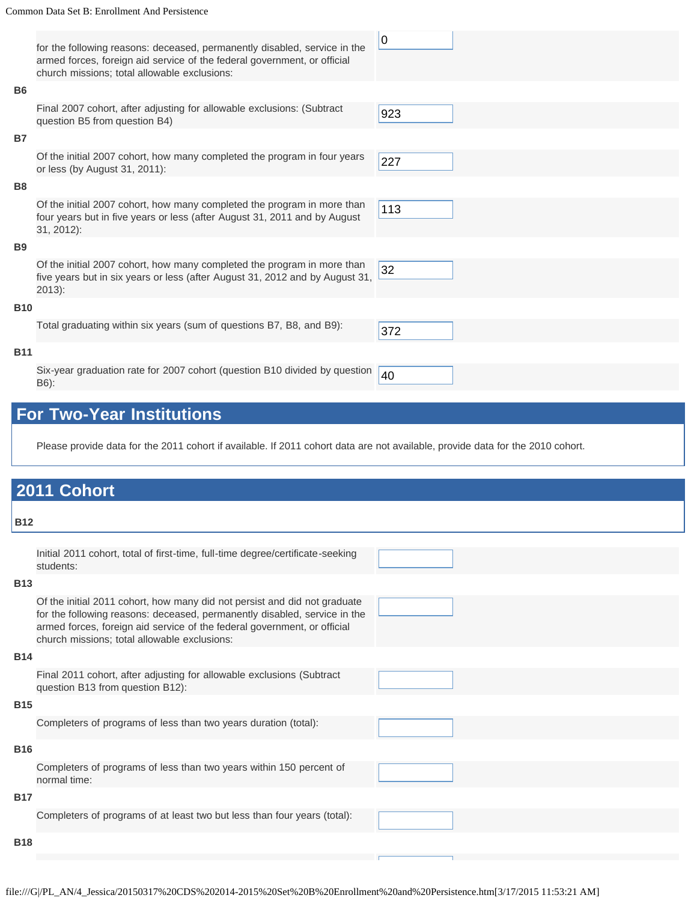|            | for the following reasons: deceased, permanently disabled, service in the<br>armed forces, foreign aid service of the federal government, or official<br>church missions; total allowable exclusions: | 0   |
|------------|-------------------------------------------------------------------------------------------------------------------------------------------------------------------------------------------------------|-----|
| B6         |                                                                                                                                                                                                       |     |
|            | Final 2007 cohort, after adjusting for allowable exclusions: (Subtract<br>question B5 from question B4)                                                                                               | 923 |
| <b>B7</b>  |                                                                                                                                                                                                       |     |
|            | Of the initial 2007 cohort, how many completed the program in four years<br>or less (by August 31, 2011):                                                                                             | 227 |
| B8         |                                                                                                                                                                                                       |     |
|            | Of the initial 2007 cohort, how many completed the program in more than<br>four years but in five years or less (after August 31, 2011 and by August<br>$31, 2012$ :                                  | 113 |
| <b>B9</b>  |                                                                                                                                                                                                       |     |
|            | Of the initial 2007 cohort, how many completed the program in more than<br>five years but in six years or less (after August 31, 2012 and by August 31,<br>$2013$ :                                   | 32  |
| <b>B10</b> |                                                                                                                                                                                                       |     |
|            | Total graduating within six years (sum of questions B7, B8, and B9):                                                                                                                                  | 372 |
| <b>B11</b> |                                                                                                                                                                                                       |     |
|            | Six-year graduation rate for 2007 cohort (question B10 divided by question<br>B6):                                                                                                                    | 40  |

### **For Two-Year Institutions**

Please provide data for the 2011 cohort if available. If 2011 cohort data are not available, provide data for the 2010 cohort.

### **2011 Cohort**

#### **B12**

|            | Initial 2011 cohort, total of first-time, full-time degree/certificate-seeking<br>students:                                                                                                                                                                                        |  |
|------------|------------------------------------------------------------------------------------------------------------------------------------------------------------------------------------------------------------------------------------------------------------------------------------|--|
| <b>B13</b> |                                                                                                                                                                                                                                                                                    |  |
|            | Of the initial 2011 cohort, how many did not persist and did not graduate<br>for the following reasons: deceased, permanently disabled, service in the<br>armed forces, foreign aid service of the federal government, or official<br>church missions; total allowable exclusions: |  |
| B14        |                                                                                                                                                                                                                                                                                    |  |
|            | Final 2011 cohort, after adjusting for allowable exclusions (Subtract<br>question B13 from question B12):                                                                                                                                                                          |  |
| <b>B15</b> |                                                                                                                                                                                                                                                                                    |  |
|            | Completers of programs of less than two years duration (total):                                                                                                                                                                                                                    |  |
| <b>B16</b> |                                                                                                                                                                                                                                                                                    |  |
|            | Completers of programs of less than two years within 150 percent of<br>normal time:                                                                                                                                                                                                |  |
| <b>B17</b> |                                                                                                                                                                                                                                                                                    |  |
|            | Completers of programs of at least two but less than four years (total):                                                                                                                                                                                                           |  |
| <b>B18</b> |                                                                                                                                                                                                                                                                                    |  |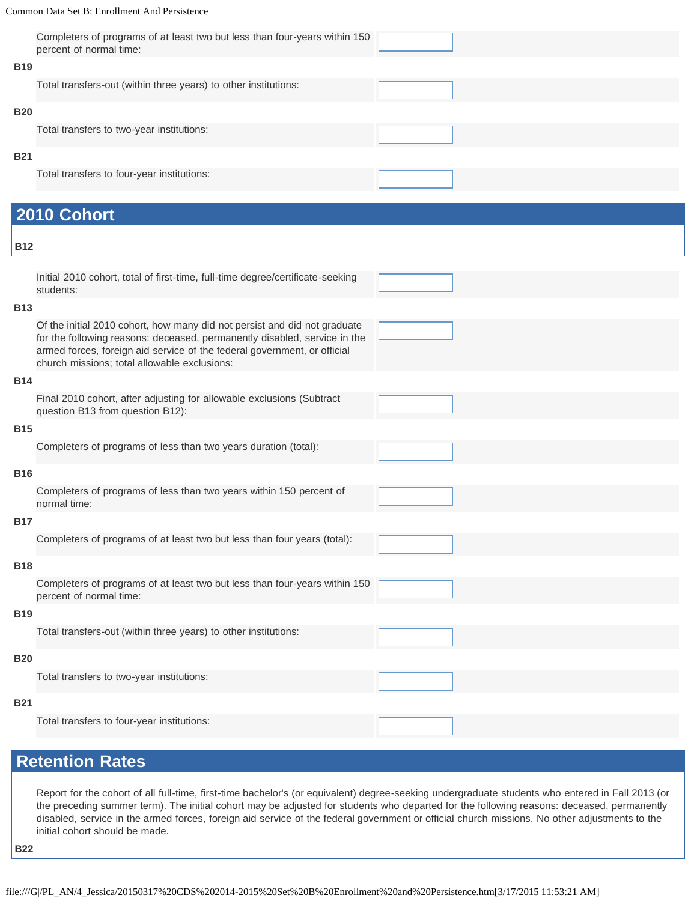#### Common Data Set B: Enrollment And Persistence

| Completers of programs of at least two but less than four-years within 150<br>percent of normal time:<br><b>B19</b><br>Total transfers-out (within three years) to other institutions:<br><b>B20</b><br>Total transfers to two-year institutions:                                  |  |
|------------------------------------------------------------------------------------------------------------------------------------------------------------------------------------------------------------------------------------------------------------------------------------|--|
|                                                                                                                                                                                                                                                                                    |  |
|                                                                                                                                                                                                                                                                                    |  |
|                                                                                                                                                                                                                                                                                    |  |
|                                                                                                                                                                                                                                                                                    |  |
|                                                                                                                                                                                                                                                                                    |  |
| <b>B21</b>                                                                                                                                                                                                                                                                         |  |
| Total transfers to four-year institutions:                                                                                                                                                                                                                                         |  |
| 2010 Cohort                                                                                                                                                                                                                                                                        |  |
| <b>B12</b>                                                                                                                                                                                                                                                                         |  |
|                                                                                                                                                                                                                                                                                    |  |
| Initial 2010 cohort, total of first-time, full-time degree/certificate-seeking<br>students:                                                                                                                                                                                        |  |
| <b>B13</b>                                                                                                                                                                                                                                                                         |  |
| Of the initial 2010 cohort, how many did not persist and did not graduate<br>for the following reasons: deceased, permanently disabled, service in the<br>armed forces, foreign aid service of the federal government, or official<br>church missions; total allowable exclusions: |  |
| <b>B14</b>                                                                                                                                                                                                                                                                         |  |
| Final 2010 cohort, after adjusting for allowable exclusions (Subtract<br>question B13 from question B12):                                                                                                                                                                          |  |
| <b>B15</b>                                                                                                                                                                                                                                                                         |  |
| Completers of programs of less than two years duration (total):                                                                                                                                                                                                                    |  |
| <b>B16</b>                                                                                                                                                                                                                                                                         |  |
| Completers of programs of less than two years within 150 percent of<br>normal time:                                                                                                                                                                                                |  |
| <b>B17</b>                                                                                                                                                                                                                                                                         |  |
| Completers of programs of at least two but less than four years (total):                                                                                                                                                                                                           |  |
| <b>B18</b>                                                                                                                                                                                                                                                                         |  |
| Completers of programs of at least two but less than four-years within 150<br>percent of normal time:                                                                                                                                                                              |  |
| <b>B19</b>                                                                                                                                                                                                                                                                         |  |
| Total transfers-out (within three years) to other institutions:                                                                                                                                                                                                                    |  |
| <b>B20</b>                                                                                                                                                                                                                                                                         |  |
| Total transfers to two-year institutions:                                                                                                                                                                                                                                          |  |
| <b>B21</b>                                                                                                                                                                                                                                                                         |  |
| Total transfers to four-year institutions:                                                                                                                                                                                                                                         |  |

### **Retention Rates**

Report for the cohort of all full-time, first-time bachelor's (or equivalent) degree-seeking undergraduate students who entered in Fall 2013 (or the preceding summer term). The initial cohort may be adjusted for students who departed for the following reasons: deceased, permanently disabled, service in the armed forces, foreign aid service of the federal government or official church missions. No other adjustments to the initial cohort should be made.

**B22**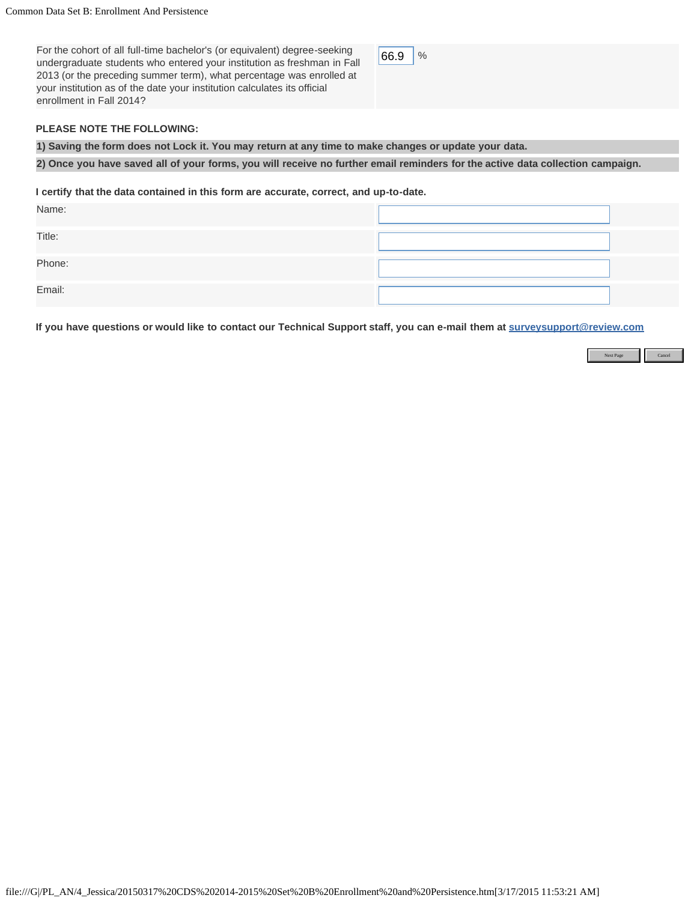For the cohort of all full-time bachelor's (or equivalent) degree-seeking undergraduate students who entered your institution as freshman in Fall 2013 (or the preceding summer term), what percentage was enrolled at your institution as of the date your institution calculates its official enrollment in Fall 2014?

 % 66.9

#### **PLEASE NOTE THE FOLLOWING:**

**1) Saving the form does not Lock it. You may return at any time to make changes or update your data.**

**2) Once you have saved all of your forms, you will receive no further email reminders for the active data collection campaign.**

**I certify that the data contained in this form are accurate, correct, and up-to-date.**

| Name:  |  |
|--------|--|
| Title: |  |
| Phone: |  |
| Email: |  |

**If you have questions or would like to contact our Technical Support staff, you can e-mail them at [surveysupport@review.com](mailto:surveysupport@review.com)**

Next Page Cancel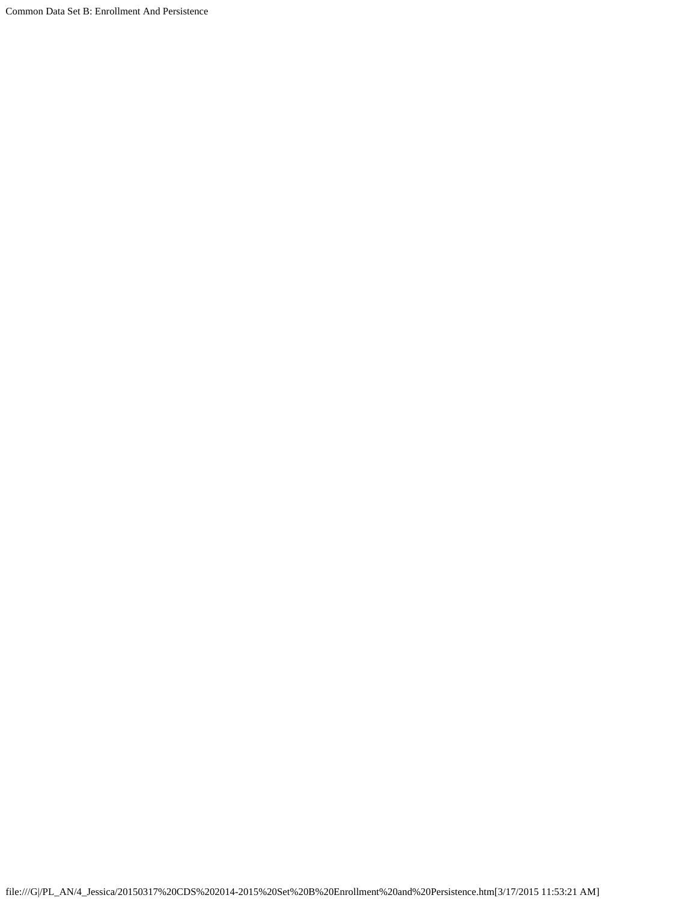Common Data Set B: Enrollment And Persistence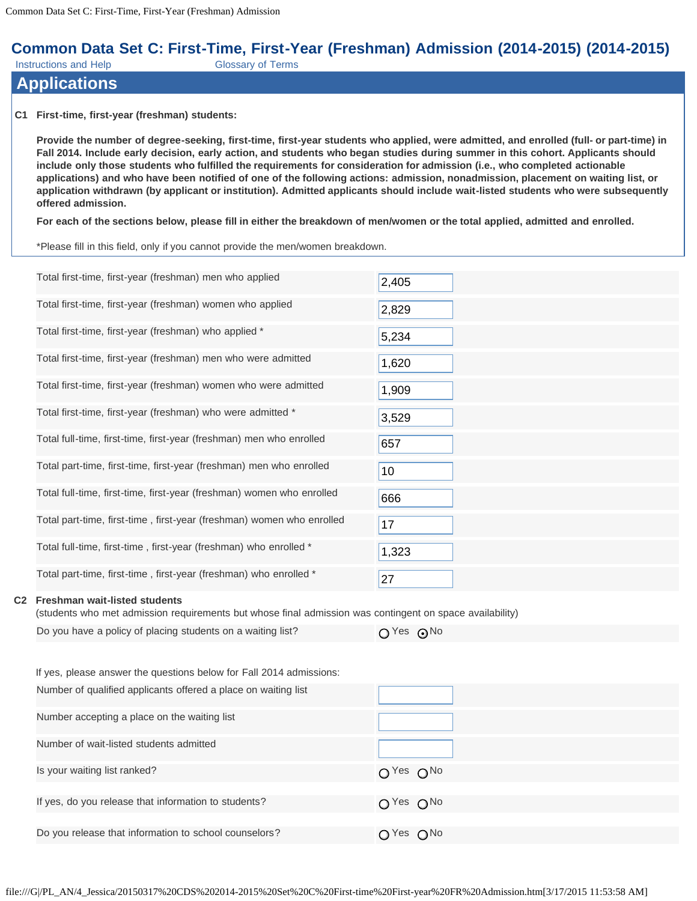### **Common Data Set C: First-Time, First-Year (Freshman) Admission (2014-2015) (2014-2015)**

[Instructions and Help](javascript:;) [Glossary of Terms](javascript:;)

**Applications**

**C1 First-time, first-year (freshman) students:**

**Provide the number of degree-seeking, first-time, first-year students who applied, were admitted, and enrolled (full- or part-time) in Fall 2014. Include early decision, early action, and students who began studies during summer in this cohort. Applicants should include only those students who fulfilled the requirements for consideration for admission (i.e., who completed actionable applications) and who have been notified of one of the following actions: admission, nonadmission, placement on waiting list, or application withdrawn (by applicant or institution). Admitted applicants should include wait-listed students who were subsequently offered admission.**

**For each of the sections below, please fill in either the breakdown of men/women or the total applied, admitted and enrolled.**

\*Please fill in this field, only if you cannot provide the men/women breakdown.

| Total first-time, first-year (freshman) men who applied               | 2,405 |
|-----------------------------------------------------------------------|-------|
| Total first-time, first-year (freshman) women who applied             |       |
|                                                                       | 2,829 |
| Total first-time, first-year (freshman) who applied *                 |       |
|                                                                       | 5,234 |
| Total first-time, first-year (freshman) men who were admitted         | 1,620 |
|                                                                       |       |
| Total first-time, first-year (freshman) women who were admitted       | 1,909 |
|                                                                       |       |
| Total first-time, first-year (freshman) who were admitted *           | 3,529 |
|                                                                       |       |
| Total full-time, first-time, first-year (freshman) men who enrolled   | 657   |
|                                                                       |       |
| Total part-time, first-time, first-year (freshman) men who enrolled   | 10    |
|                                                                       |       |
| Total full-time, first-time, first-year (freshman) women who enrolled | 666   |
|                                                                       |       |
| Total part-time, first-time, first-year (freshman) women who enrolled | 17    |
|                                                                       |       |
| Total full-time, first-time, first-year (freshman) who enrolled *     | 1,323 |
|                                                                       |       |
| Total part-time, first-time, first-year (freshman) who enrolled *     | 27    |
|                                                                       |       |

#### **C2 Freshman wait-listed students**

(students who met admission requirements but whose final admission was contingent on space availability)

| Do you have a policy of placing students on a waiting list? | $OYes$ $ONo$ |  |
|-------------------------------------------------------------|--------------|--|
|-------------------------------------------------------------|--------------|--|

| $Yes$ $No$ |
|------------|

| If yes, please answer the questions below for Fall 2014 admissions: |                |
|---------------------------------------------------------------------|----------------|
| Number of qualified applicants offered a place on waiting list      |                |
| Number accepting a place on the waiting list                        |                |
| Number of wait-listed students admitted                             |                |
| Is your waiting list ranked?                                        | $OYes$ $ONo$   |
| If yes, do you release that information to students?                | $OYes$ $ONo$   |
| Do you release that information to school counselors?               | $O$ Yes $O$ No |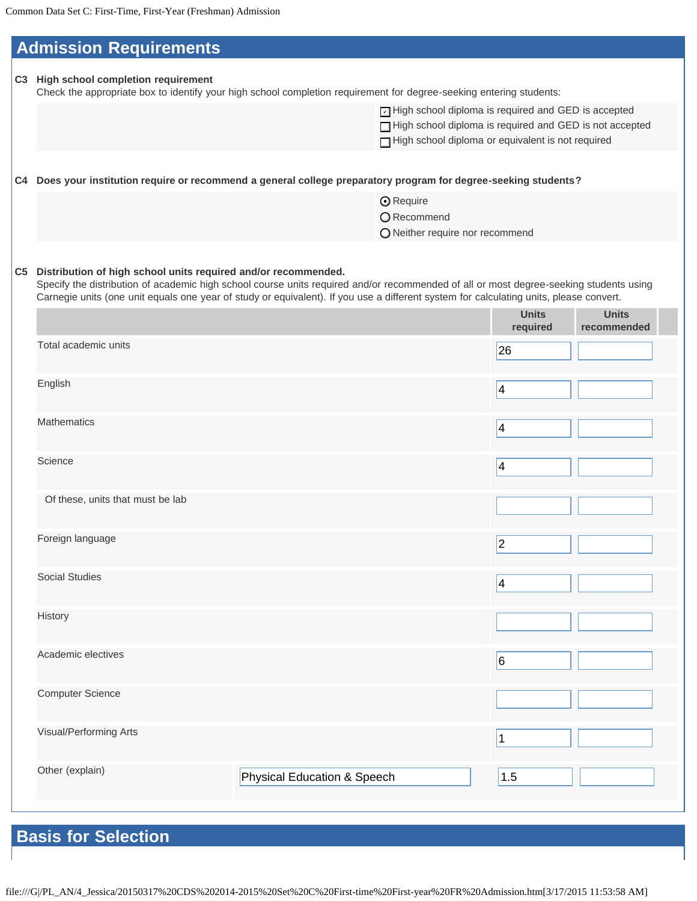|  | <b>Admission Requirements</b>                                                                                                                                                                                                                                                                                                                         |                             |                                                                                                                                                                     |                          |                             |
|--|-------------------------------------------------------------------------------------------------------------------------------------------------------------------------------------------------------------------------------------------------------------------------------------------------------------------------------------------------------|-----------------------------|---------------------------------------------------------------------------------------------------------------------------------------------------------------------|--------------------------|-----------------------------|
|  | C3 High school completion requirement<br>Check the appropriate box to identify your high school completion requirement for degree-seeking entering students:                                                                                                                                                                                          |                             |                                                                                                                                                                     |                          |                             |
|  |                                                                                                                                                                                                                                                                                                                                                       |                             | High school diploma is required and GED is accepted<br>High school diploma is required and GED is not accepted<br>High school diploma or equivalent is not required |                          |                             |
|  | C4 Does your institution require or recommend a general college preparatory program for degree-seeking students?                                                                                                                                                                                                                                      |                             |                                                                                                                                                                     |                          |                             |
|  | <b>⊙</b> Require<br>O Recommend<br>O Neither require nor recommend                                                                                                                                                                                                                                                                                    |                             |                                                                                                                                                                     |                          |                             |
|  | C5 Distribution of high school units required and/or recommended.<br>Specify the distribution of academic high school course units required and/or recommended of all or most degree-seeking students using<br>Carnegie units (one unit equals one year of study or equivalent). If you use a different system for calculating units, please convert. |                             |                                                                                                                                                                     |                          |                             |
|  |                                                                                                                                                                                                                                                                                                                                                       |                             |                                                                                                                                                                     | <b>Units</b><br>required | <b>Units</b><br>recommended |
|  | Total academic units                                                                                                                                                                                                                                                                                                                                  |                             |                                                                                                                                                                     | 26                       |                             |
|  | English                                                                                                                                                                                                                                                                                                                                               |                             |                                                                                                                                                                     | 4                        |                             |
|  | <b>Mathematics</b>                                                                                                                                                                                                                                                                                                                                    |                             |                                                                                                                                                                     | 4                        |                             |
|  | Science                                                                                                                                                                                                                                                                                                                                               |                             |                                                                                                                                                                     | 4                        |                             |
|  | Of these, units that must be lab                                                                                                                                                                                                                                                                                                                      |                             |                                                                                                                                                                     |                          |                             |
|  | Foreign language                                                                                                                                                                                                                                                                                                                                      |                             |                                                                                                                                                                     | $ 2\rangle$              |                             |
|  | <b>Social Studies</b>                                                                                                                                                                                                                                                                                                                                 |                             |                                                                                                                                                                     | 4                        |                             |
|  | History                                                                                                                                                                                                                                                                                                                                               |                             |                                                                                                                                                                     |                          |                             |
|  | Academic electives                                                                                                                                                                                                                                                                                                                                    |                             |                                                                                                                                                                     | 6                        |                             |
|  | <b>Computer Science</b>                                                                                                                                                                                                                                                                                                                               |                             |                                                                                                                                                                     |                          |                             |
|  | Visual/Performing Arts                                                                                                                                                                                                                                                                                                                                |                             |                                                                                                                                                                     | $\mathbf 1$              |                             |
|  | Other (explain)                                                                                                                                                                                                                                                                                                                                       | Physical Education & Speech |                                                                                                                                                                     | 1.5                      |                             |
|  |                                                                                                                                                                                                                                                                                                                                                       |                             |                                                                                                                                                                     |                          |                             |

**Basis for Selection**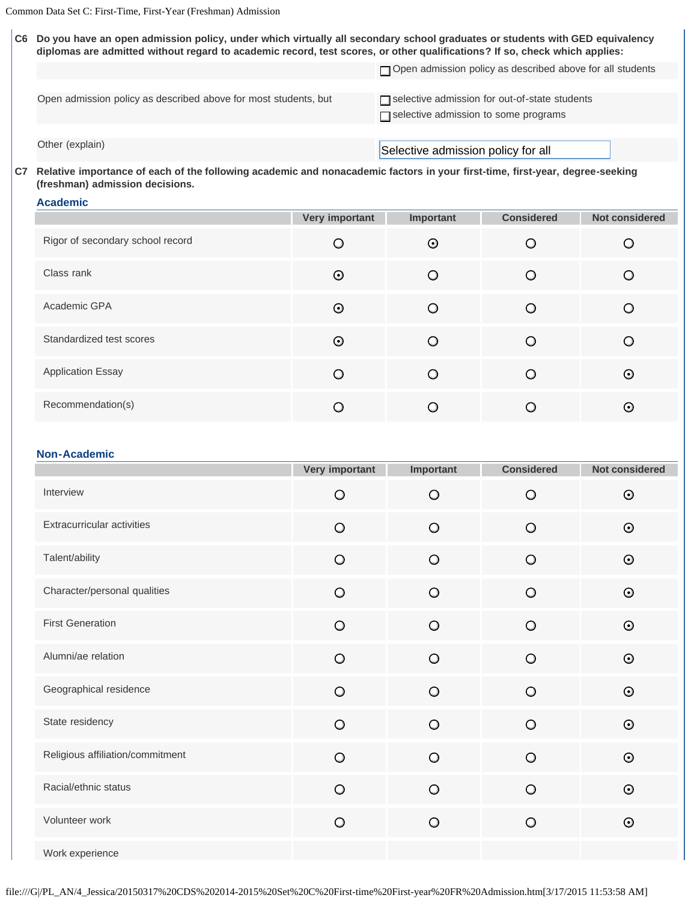| C6 | Do you have an open admission policy, under which virtually all secondary school graduates or students with GED equivalency<br>diplomas are admitted without regard to academic record, test scores, or other qualifications? If so, check which applies: |                       |                                             |                                                                  |                       |
|----|-----------------------------------------------------------------------------------------------------------------------------------------------------------------------------------------------------------------------------------------------------------|-----------------------|---------------------------------------------|------------------------------------------------------------------|-----------------------|
|    |                                                                                                                                                                                                                                                           |                       |                                             | $\Box$ Open admission policy as described above for all students |                       |
|    | Open admission policy as described above for most students, but                                                                                                                                                                                           |                       | $\Box$ selective admission to some programs | $\Box$ selective admission for out-of-state students             |                       |
|    | Other (explain)<br>Selective admission policy for all                                                                                                                                                                                                     |                       |                                             |                                                                  |                       |
| C7 | Relative importance of each of the following academic and nonacademic factors in your first-time, first-year, degree-seeking<br>(freshman) admission decisions.                                                                                           |                       |                                             |                                                                  |                       |
|    | <b>Academic</b>                                                                                                                                                                                                                                           |                       |                                             |                                                                  |                       |
|    |                                                                                                                                                                                                                                                           | <b>Very important</b> | Important                                   | <b>Considered</b>                                                | <b>Not considered</b> |
|    | Rigor of secondary school record                                                                                                                                                                                                                          | $\circ$               | ⊙                                           | O                                                                | $\circ$               |
|    | Class rank                                                                                                                                                                                                                                                | $\odot$               | O                                           | $\Omega$                                                         | O                     |
|    | Academic GPA                                                                                                                                                                                                                                              | $\odot$               | O                                           |                                                                  |                       |
|    |                                                                                                                                                                                                                                                           |                       |                                             |                                                                  |                       |

| Class rank               | $\odot$ |   |         |
|--------------------------|---------|---|---------|
| Academic GPA             | $\odot$ | O |         |
| Standardized test scores | $\odot$ | O |         |
| <b>Application Essay</b> |         | O | ⊙       |
| Recommendation(s)        |         | O | $\odot$ |
|                          |         |   |         |

#### **Non-Academic**

|                                  | <b>Very important</b> | Important | <b>Considered</b> | <b>Not considered</b> |
|----------------------------------|-----------------------|-----------|-------------------|-----------------------|
| Interview                        | $\circ$               | $\circ$   | $\circ$           | $\odot$               |
| Extracurricular activities       | $\circ$               | $\circ$   | $\circ$           | $\odot$               |
| Talent/ability                   | $\circ$               | $\circ$   | $\circ$           | $\odot$               |
| Character/personal qualities     | $\circ$               | $\circ$   | $\circ$           | $\odot$               |
| <b>First Generation</b>          | $\circ$               | $\circ$   | $\circ$           | $\odot$               |
| Alumni/ae relation               | $\circ$               | $\circ$   | $\circ$           | $\odot$               |
| Geographical residence           | $\circ$               | $\circ$   | $\circ$           | $\odot$               |
| State residency                  | $\circ$               | $\circ$   | $\circ$           | $\odot$               |
| Religious affiliation/commitment | $\circ$               | $\circ$   | $\circ$           | $\odot$               |
| Racial/ethnic status             | $\circ$               | $\circ$   | $\circ$           | $\odot$               |
| Volunteer work                   | $\circ$               | $\circ$   | $\circ$           | $\odot$               |
| Work experience                  |                       |           |                   |                       |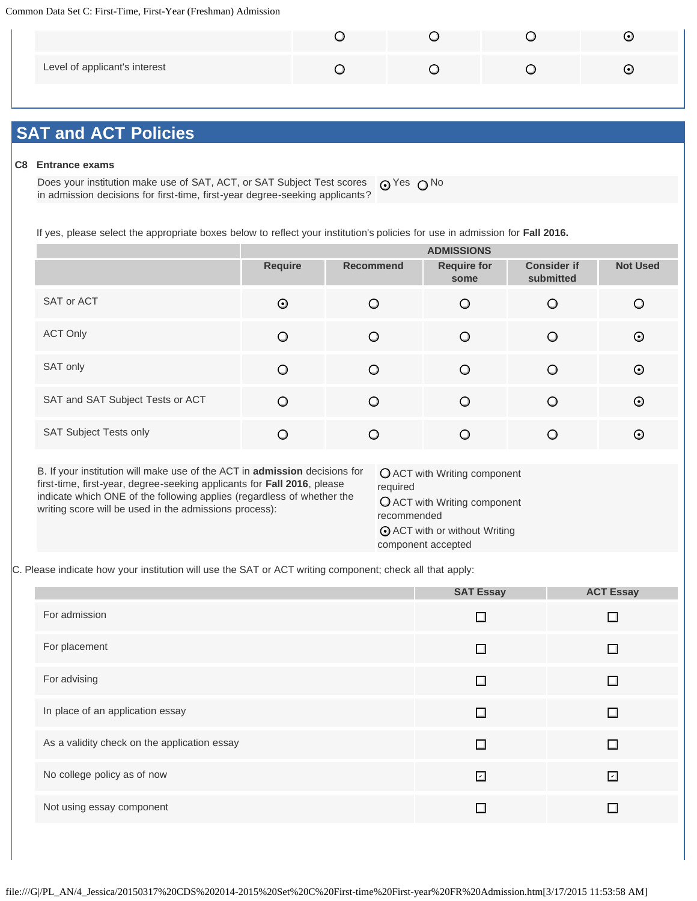| Level of applicant's interest |  |  |
|-------------------------------|--|--|

### **SAT and ACT Policies**

#### **C8 Entrance exams**

Does your institution make use of SAT, ACT, or SAT Subject Test scores in admission decisions for first-time, first-year degree-seeking applicants?  $O$ Yes  $O$ No

If yes, please select the appropriate boxes below to reflect your institution's policies for use in admission for **Fall 2016.**

|                                  |                |                  | <b>ADMISSIONS</b>          |                                 |                 |
|----------------------------------|----------------|------------------|----------------------------|---------------------------------|-----------------|
|                                  | <b>Require</b> | <b>Recommend</b> | <b>Require for</b><br>some | <b>Consider if</b><br>submitted | <b>Not Used</b> |
| SAT or ACT                       | $\odot$        | O                | O                          | $\circ$                         | Ő               |
| <b>ACT Only</b>                  | $\circ$        | O                | O                          | O                               | $\odot$         |
| SAT only                         | $\circ$        | O                | O                          | $\circ$                         | $\odot$         |
| SAT and SAT Subject Tests or ACT | $\circ$        | O                | O                          | Ő                               | $\odot$         |
| SAT Subject Tests only           | O              | O                | O                          |                                 | $\odot$         |

B. If your institution will make use of the ACT in **admission** decisions for first-time, first-year, degree-seeking applicants for **Fall 2016**, please indicate which ONE of the following applies (regardless of whether the writing score will be used in the admissions process):

ACT with Writing component required ACT with Writing component recommended ACT with or without Writing component accepted

C. Please indicate how your institution will use the SAT or ACT writing component; check all that apply:

|                                              | <b>SAT Essay</b> | <b>ACT Essay</b>         |
|----------------------------------------------|------------------|--------------------------|
| For admission                                | $\Box$           | $\Box$                   |
| For placement                                | $\Box$           | $\Box$                   |
| For advising                                 | □                | $\Box$                   |
| In place of an application essay             | □                | $\Box$                   |
| As a validity check on the application essay | П                | $\Box$                   |
| No college policy as of now                  | ☑                | $\overline{\phantom{0}}$ |
| Not using essay component                    |                  | П                        |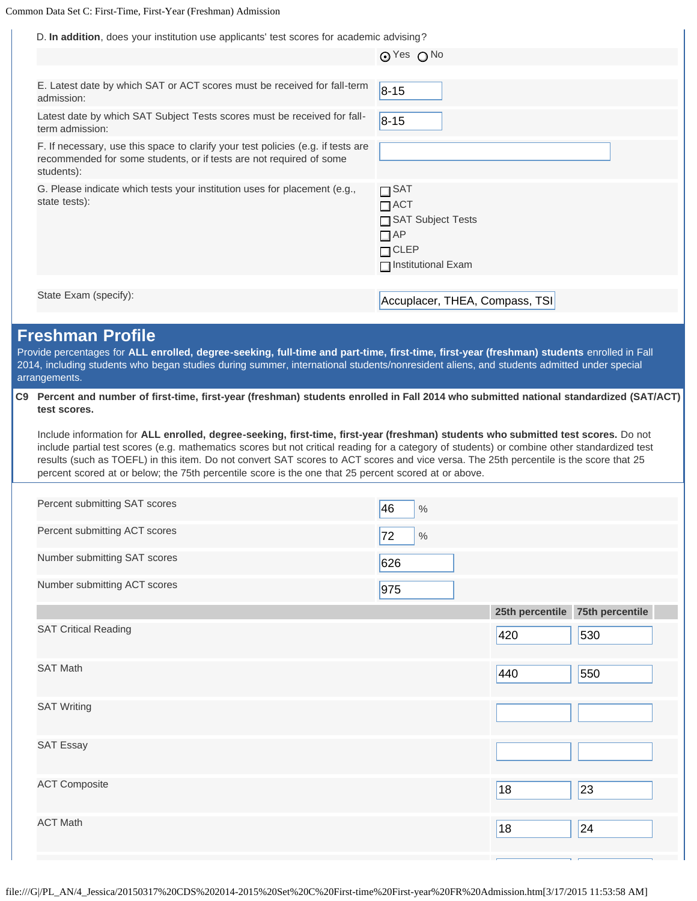| D. In addition, does your institution use applicants' test scores for academic advising?                                                                              |                                                                                                                                                                                                                                                                                        |  |
|-----------------------------------------------------------------------------------------------------------------------------------------------------------------------|----------------------------------------------------------------------------------------------------------------------------------------------------------------------------------------------------------------------------------------------------------------------------------------|--|
|                                                                                                                                                                       |                                                                                                                                                                                                                                                                                        |  |
|                                                                                                                                                                       | $O$ Yes $O$ No                                                                                                                                                                                                                                                                         |  |
| E. Latest date by which SAT or ACT scores must be received for fall-term<br>admission:                                                                                | $8 - 15$                                                                                                                                                                                                                                                                               |  |
| Latest date by which SAT Subject Tests scores must be received for fall-<br>term admission:                                                                           | $8 - 15$                                                                                                                                                                                                                                                                               |  |
| F. If necessary, use this space to clarify your test policies (e.g. if tests are<br>recommended for some students, or if tests are not required of some<br>students): |                                                                                                                                                                                                                                                                                        |  |
| G. Please indicate which tests your institution uses for placement (e.g.,<br>state tests):                                                                            | $\square$ SAT<br>$\Box$ ACT<br>SAT Subject Tests<br>$\Box$ AP<br>$\Box$ CLEP<br>□ Institutional Exam                                                                                                                                                                                   |  |
| State Exam (specify):                                                                                                                                                 | Accuplacer, THEA, Compass, TSI                                                                                                                                                                                                                                                         |  |
| Include information for ALL enrolled, degree-seeking, first-time, first-year (freshman) students who submitted test scores. Do not                                    |                                                                                                                                                                                                                                                                                        |  |
| percent scored at or below; the 75th percentile score is the one that 25 percent scored at or above.                                                                  | include partial test scores (e.g. mathematics scores but not critical reading for a category of students) or combine other standardized test<br>results (such as TOEFL) in this item. Do not convert SAT scores to ACT scores and vice versa. The 25th percentile is the score that 25 |  |
| Percent submitting SAT scores                                                                                                                                         | 46<br>$\%$                                                                                                                                                                                                                                                                             |  |
| Percent submitting ACT scores                                                                                                                                         | $\%$<br>72                                                                                                                                                                                                                                                                             |  |
| Number submitting SAT scores                                                                                                                                          | 626                                                                                                                                                                                                                                                                                    |  |
| Number submitting ACT scores                                                                                                                                          | 975                                                                                                                                                                                                                                                                                    |  |
|                                                                                                                                                                       | 25th percentile<br>75th percentile                                                                                                                                                                                                                                                     |  |
| <b>SAT Critical Reading</b>                                                                                                                                           | 420<br>530                                                                                                                                                                                                                                                                             |  |
| <b>SAT Math</b>                                                                                                                                                       | 440<br>550                                                                                                                                                                                                                                                                             |  |
| <b>SAT Writing</b>                                                                                                                                                    |                                                                                                                                                                                                                                                                                        |  |
| <b>SAT Essay</b>                                                                                                                                                      |                                                                                                                                                                                                                                                                                        |  |

ACT Math

file:///G|/PL\_AN/4\_Jessica/20150317%20CDS%202014-2015%20Set%20C%20First-time%20First-year%20FR%20Admission.htm[3/17/2015 11:53:58 AM]

18 24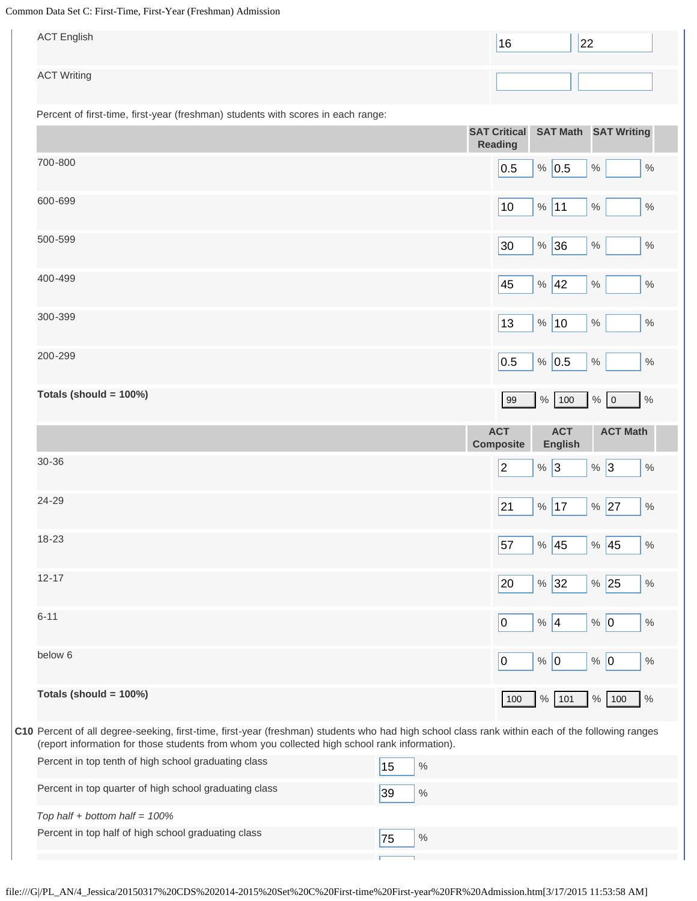| <b>ACT English</b>                                                                                                                                                                                                                                |            | 16<br>22                                                                          |
|---------------------------------------------------------------------------------------------------------------------------------------------------------------------------------------------------------------------------------------------------|------------|-----------------------------------------------------------------------------------|
| <b>ACT Writing</b>                                                                                                                                                                                                                                |            |                                                                                   |
| Percent of first-time, first-year (freshman) students with scores in each range:                                                                                                                                                                  |            |                                                                                   |
|                                                                                                                                                                                                                                                   |            | <b>SAT Writing</b><br><b>SAT Critical</b><br><b>SAT Math</b><br><b>Reading</b>    |
| 700-800                                                                                                                                                                                                                                           |            | % $ 0.5 $<br>0.5<br>$\%$<br>$\%$                                                  |
| 600-699                                                                                                                                                                                                                                           |            | $\%$<br>% 11<br>$\%$<br>10                                                        |
| 500-599                                                                                                                                                                                                                                           |            | 30<br>% 36<br>$\%$<br>$\%$                                                        |
| 400-499                                                                                                                                                                                                                                           |            | 45<br> 42 <br>$\%$<br>$\%$<br>$\%$                                                |
| 300-399                                                                                                                                                                                                                                           |            | $\%$<br>% 10<br>$\%$<br>13                                                        |
| 200-299                                                                                                                                                                                                                                           |            | % 0.5<br>$\%$<br>0.5<br>$\%$                                                      |
| Totals (should = $100\%$ )                                                                                                                                                                                                                        |            | 99<br>% 100<br>$%$ 0<br>$\frac{0}{0}$                                             |
|                                                                                                                                                                                                                                                   |            | <b>ACT</b><br><b>ACT</b><br><b>ACT Math</b><br><b>Composite</b><br><b>English</b> |
| 30-36                                                                                                                                                                                                                                             |            | $ 2\rangle$<br>% 3<br>% 3<br>$\%$                                                 |
| 24-29                                                                                                                                                                                                                                             |            | 21<br>% 17<br>% 27<br>$\%$                                                        |
| 18-23                                                                                                                                                                                                                                             |            | % 45<br>57<br>% 45<br>$\%$                                                        |
| $12 - 17$                                                                                                                                                                                                                                         |            | % 32<br>% 25<br>20<br>$\%$                                                        |
| $6 - 11$                                                                                                                                                                                                                                          |            | 0 <br>% 4<br>$%$ 0<br>$\%$                                                        |
| below 6                                                                                                                                                                                                                                           |            | $%$ 0<br>$\%$ 0<br>$\%$<br>$\pmb{0}$                                              |
| Totals (should = $100\%$ )                                                                                                                                                                                                                        |            | % 101<br>% 100<br>$\%$<br>100                                                     |
| C10 Percent of all degree-seeking, first-time, first-year (freshman) students who had high school class rank within each of the following ranges<br>(report information for those students from whom you collected high school rank information). |            |                                                                                   |
| Percent in top tenth of high school graduating class                                                                                                                                                                                              | $\%$<br>15 |                                                                                   |
| Percent in top quarter of high school graduating class                                                                                                                                                                                            | 39<br>$\%$ |                                                                                   |
| Top half + bottom half = $100\%$                                                                                                                                                                                                                  |            |                                                                                   |
| Percent in top half of high school graduating class                                                                                                                                                                                               | $\%$<br>75 |                                                                                   |

file:///G|/PL\_AN/4\_Jessica/20150317%20CDS%202014-2015%20Set%20C%20First-time%20First-year%20FR%20Admission.htm[3/17/2015 11:53:58 AM]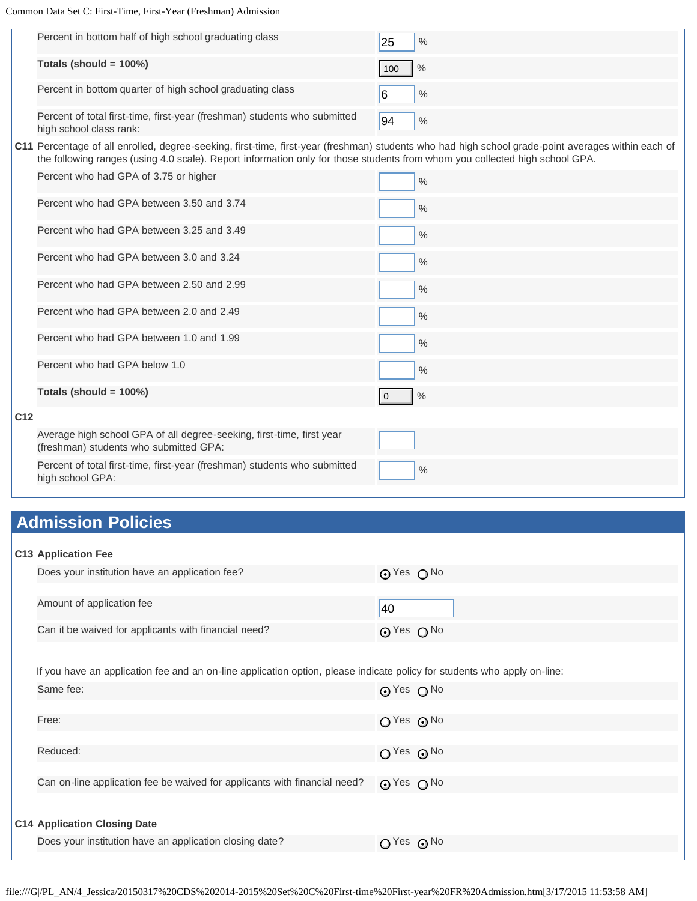| Percent in bottom half of high school graduating class                                               | $\frac{9}{6}$ |
|------------------------------------------------------------------------------------------------------|---------------|
| Totals (should = $100\%$ )                                                                           | $\%$<br>100   |
| Percent in bottom quarter of high school graduating class                                            | $\%$          |
| Percent of total first-time, first-year (freshman) students who submitted<br>high school class rank: | $\%$          |

**C11** Percentage of all enrolled, degree-seeking, first-time, first-year (freshman) students who had high school grade-point averages within each of the following ranges (using 4.0 scale). Report information only for those students from whom you collected high school GPA.

|                 | Percent who had GPA of 3.75 or higher                                                                           | $\frac{0}{0}$ |
|-----------------|-----------------------------------------------------------------------------------------------------------------|---------------|
|                 | Percent who had GPA between 3.50 and 3.74                                                                       | $\frac{0}{0}$ |
|                 | Percent who had GPA between 3.25 and 3.49                                                                       | $\%$          |
|                 | Percent who had GPA between 3.0 and 3.24                                                                        | $\%$          |
|                 | Percent who had GPA between 2.50 and 2.99                                                                       | $\%$          |
|                 | Percent who had GPA between 2.0 and 2.49                                                                        | $\%$          |
|                 | Percent who had GPA between 1.0 and 1.99                                                                        | $\%$          |
|                 | Percent who had GPA below 1.0                                                                                   | $\%$          |
|                 | Totals (should = $100\%$ )                                                                                      | $\%$<br>0     |
| C <sub>12</sub> |                                                                                                                 |               |
|                 | Average high school GPA of all degree-seeking, first-time, first year<br>(freshman) students who submitted GPA: |               |
|                 | Percent of total first-time, first-year (freshman) students who submitted<br>high school GPA:                   | $\%$          |
|                 |                                                                                                                 |               |

### **Admission Policies**

#### **C13 Application Fee**

| Does your institution have an application fee?       | $O$ Yes $O$ No |
|------------------------------------------------------|----------------|
| Amount of application fee                            | l4C            |
| Can it be waived for applicants with financial need? | $O$ Yes $O$ No |
|                                                      |                |

If you have an application fee and an on-line application option, please indicate policy for students who apply on-line:

| Same fee:                                                                 | $O$ Yes $O$ No |
|---------------------------------------------------------------------------|----------------|
| Free:                                                                     | $O$ Yes $O$ No |
|                                                                           |                |
| Reduced:                                                                  | $OYes ONo$     |
| Can on-line application fee be waived for applicants with financial need? | $O$ Yes $O$ No |
|                                                                           |                |
| <b>C14 Application Closing Date</b>                                       |                |
| Does your institution have an application closing date?                   | $OYes$ $ONo$   |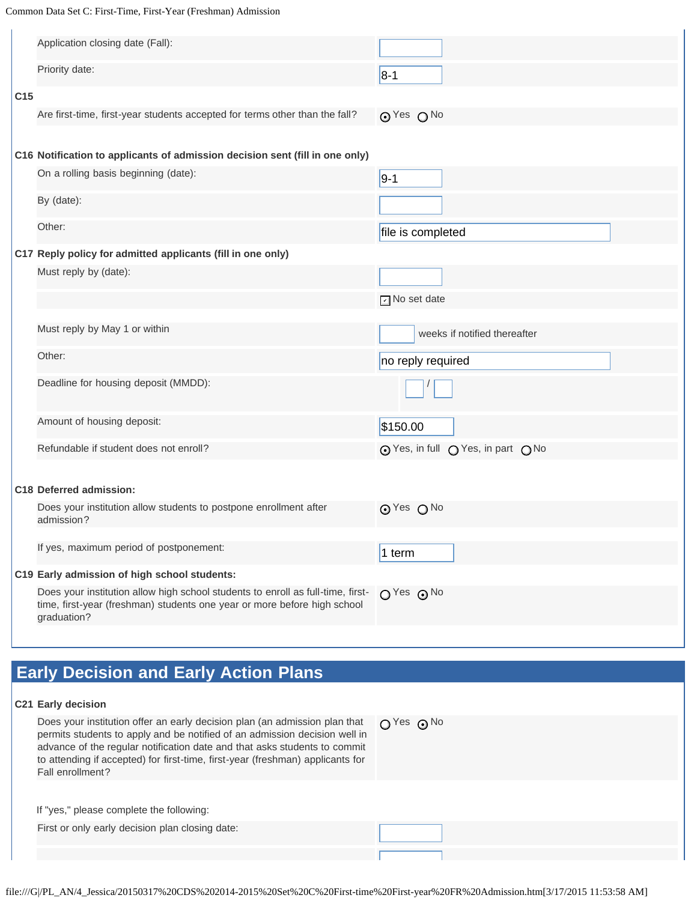|                 | Application closing date (Fall):                                                                                                                                           |                                    |
|-----------------|----------------------------------------------------------------------------------------------------------------------------------------------------------------------------|------------------------------------|
|                 |                                                                                                                                                                            |                                    |
|                 | Priority date:                                                                                                                                                             | $8-1$                              |
| C <sub>15</sub> |                                                                                                                                                                            |                                    |
|                 | Are first-time, first-year students accepted for terms other than the fall?                                                                                                | $\odot$ Yes $\odot$ No             |
|                 |                                                                                                                                                                            |                                    |
|                 | C16 Notification to applicants of admission decision sent (fill in one only)                                                                                               |                                    |
|                 | On a rolling basis beginning (date):                                                                                                                                       | $ 9-1 $                            |
|                 | By (date):                                                                                                                                                                 |                                    |
|                 | Other:                                                                                                                                                                     | file is completed                  |
|                 | C17 Reply policy for admitted applicants (fill in one only)                                                                                                                |                                    |
|                 | Must reply by (date):                                                                                                                                                      |                                    |
|                 |                                                                                                                                                                            | <b>D</b> No set date               |
|                 | Must reply by May 1 or within                                                                                                                                              |                                    |
|                 |                                                                                                                                                                            | weeks if notified thereafter       |
|                 | Other:                                                                                                                                                                     | no reply required                  |
|                 | Deadline for housing deposit (MMDD):                                                                                                                                       |                                    |
|                 | Amount of housing deposit:                                                                                                                                                 | \$150.00                           |
|                 | Refundable if student does not enroll?                                                                                                                                     | ⊙ Yes, in full ○ Yes, in part ○ No |
|                 |                                                                                                                                                                            |                                    |
|                 | C18 Deferred admission:                                                                                                                                                    |                                    |
|                 | Does your institution allow students to postpone enrollment after<br>admission?                                                                                            | $O$ Yes $O$ No                     |
|                 |                                                                                                                                                                            |                                    |
|                 | If yes, maximum period of postponement:                                                                                                                                    | 1 term                             |
|                 | C19 Early admission of high school students:                                                                                                                               |                                    |
|                 | Does your institution allow high school students to enroll as full-time, first-<br>time, first-year (freshman) students one year or more before high school<br>graduation? | $O$ Yes $O$ No                     |
|                 |                                                                                                                                                                            |                                    |

## **Early Decision and Early Action Plans**

|  | C <sub>21</sub> Early decision                                                                                                                                                                                                                                                                                                                                           |  |  |  |  |
|--|--------------------------------------------------------------------------------------------------------------------------------------------------------------------------------------------------------------------------------------------------------------------------------------------------------------------------------------------------------------------------|--|--|--|--|
|  | Does your institution offer an early decision plan (an admission plan that $\bigcirc$ Yes $\bigcirc$ No<br>permits students to apply and be notified of an admission decision well in<br>advance of the regular notification date and that asks students to commit<br>to attending if accepted) for first-time, first-year (freshman) applicants for<br>Fall enrollment? |  |  |  |  |
|  | If "yes," please complete the following:                                                                                                                                                                                                                                                                                                                                 |  |  |  |  |
|  | First or only early decision plan closing date:                                                                                                                                                                                                                                                                                                                          |  |  |  |  |
|  |                                                                                                                                                                                                                                                                                                                                                                          |  |  |  |  |

file:///G|/PL\_AN/4\_Jessica/20150317%20CDS%202014-2015%20Set%20C%20First-time%20First-year%20FR%20Admission.htm[3/17/2015 11:53:58 AM]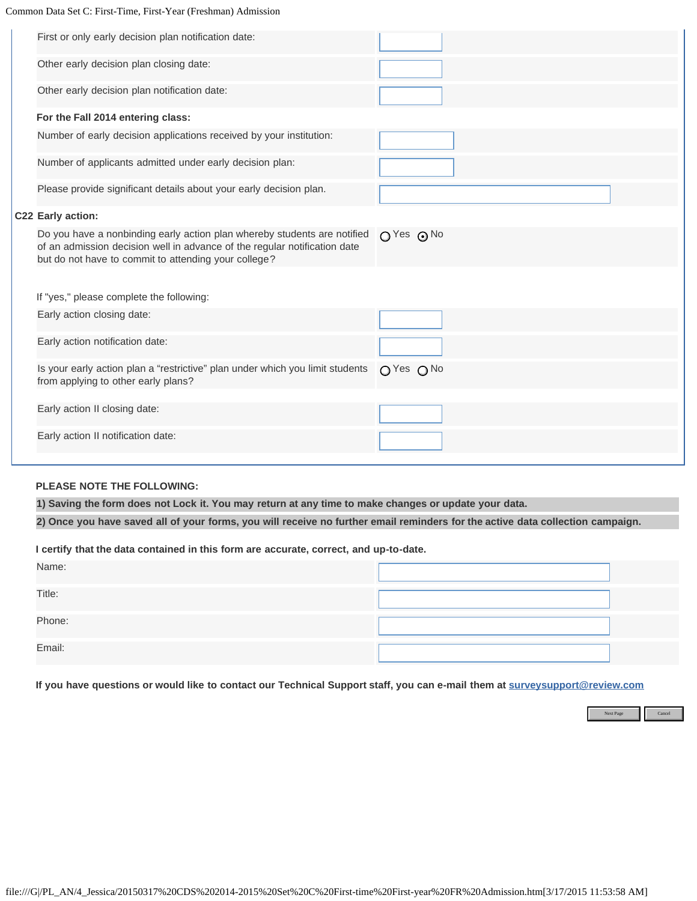| First or only early decision plan notification date:                                                                                                                                                          |              |
|---------------------------------------------------------------------------------------------------------------------------------------------------------------------------------------------------------------|--------------|
| Other early decision plan closing date:                                                                                                                                                                       |              |
| Other early decision plan notification date:                                                                                                                                                                  |              |
| For the Fall 2014 entering class:                                                                                                                                                                             |              |
| Number of early decision applications received by your institution:                                                                                                                                           |              |
| Number of applicants admitted under early decision plan:                                                                                                                                                      |              |
| Please provide significant details about your early decision plan.                                                                                                                                            |              |
| C22 Early action:                                                                                                                                                                                             |              |
| Do you have a nonbinding early action plan whereby students are notified<br>of an admission decision well in advance of the regular notification date<br>but do not have to commit to attending your college? | $OYes$ $ONo$ |
|                                                                                                                                                                                                               |              |
| If "yes," please complete the following:                                                                                                                                                                      |              |
| Early action closing date:                                                                                                                                                                                    |              |
| Early action notification date:                                                                                                                                                                               |              |
| Is your early action plan a "restrictive" plan under which you limit students<br>from applying to other early plans?                                                                                          | $OYes$ ONo   |
| Early action II closing date:                                                                                                                                                                                 |              |
| Early action II notification date:                                                                                                                                                                            |              |
|                                                                                                                                                                                                               |              |

#### **PLEASE NOTE THE FOLLOWING:**

**1) Saving the form does not Lock it. You may return at any time to make changes or update your data.**

**2) Once you have saved all of your forms, you will receive no further email reminders for the active data collection campaign.**

**I certify that the data contained in this form are accurate, correct, and up-to-date.**

| Name:  |  |
|--------|--|
| Title: |  |
| Phone: |  |
| Email: |  |

**If you have questions or would like to contact our Technical Support staff, you can e-mail them at [surveysupport@review.com](mailto:surveysupport@review.com)**

Next Page Cancel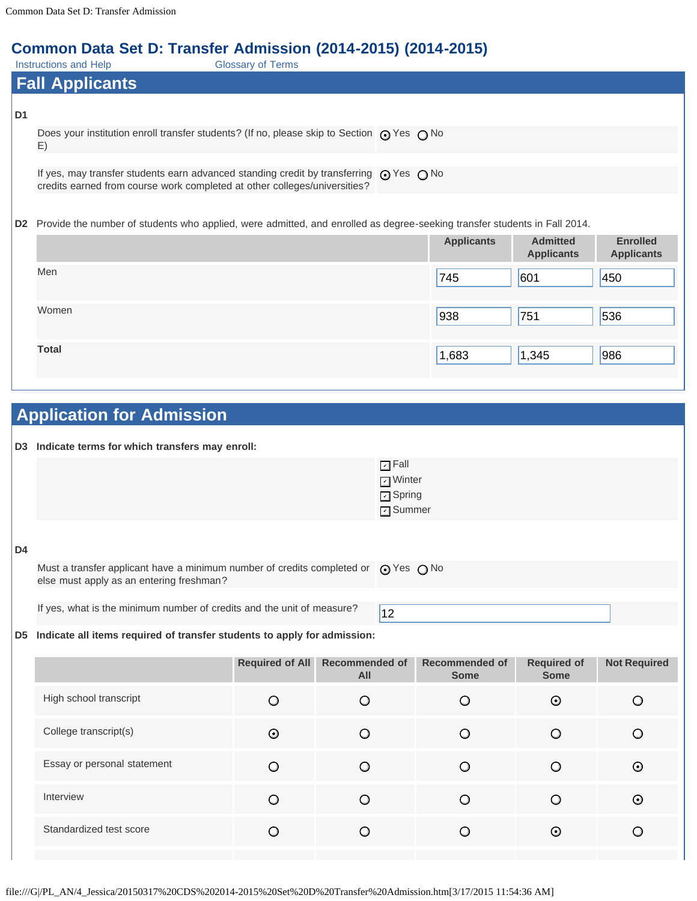Women

### **Common Data Set D: Transfer Admission (2014-2015) (2014-2015)**

|                | Instructions and Help                                                                                                                                                                 | <b>Glossary of Terms</b> |                   |                                      |                                      |
|----------------|---------------------------------------------------------------------------------------------------------------------------------------------------------------------------------------|--------------------------|-------------------|--------------------------------------|--------------------------------------|
|                | <b>Fall Applicants</b>                                                                                                                                                                |                          |                   |                                      |                                      |
| D <sub>1</sub> |                                                                                                                                                                                       |                          |                   |                                      |                                      |
|                | Does your institution enroll transfer students? (If no, please skip to Section $\odot$ Yes $\bigcirc$ No<br>E)                                                                        |                          |                   |                                      |                                      |
|                | If yes, may transfer students earn advanced standing credit by transferring $\bigcirc$ Yes $\bigcirc$ No<br>credits earned from course work completed at other colleges/universities? |                          |                   |                                      |                                      |
| D <sub>2</sub> | Provide the number of students who applied, were admitted, and enrolled as degree-seeking transfer students in Fall 2014.                                                             |                          |                   |                                      |                                      |
|                |                                                                                                                                                                                       |                          | <b>Applicants</b> | <b>Admitted</b><br><b>Applicants</b> | <b>Enrolled</b><br><b>Applicants</b> |
|                | Men                                                                                                                                                                                   |                          | 745               | 601                                  | 450                                  |

| Women        | 938   | 1751  | 536 |
|--------------|-------|-------|-----|
| <b>Total</b> | 1,683 | 1,345 | 986 |

## **Application for Admission**

#### **D3 Indicate terms for which transfers may enroll:**

|    |                                                                                                                                                  | $\Box$ Fall<br><b>□</b> Winter<br><b>□</b> Spring<br><b>□</b> Summer |  |
|----|--------------------------------------------------------------------------------------------------------------------------------------------------|----------------------------------------------------------------------|--|
| D4 |                                                                                                                                                  |                                                                      |  |
|    | Must a transfer applicant have a minimum number of credits completed or $\bigcirc$ Yes $\bigcirc$ No<br>else must apply as an entering freshman? |                                                                      |  |
|    | If yes, what is the minimum number of credits and the unit of measure?                                                                           | 12                                                                   |  |

### **D5 Indicate all items required of transfer students to apply for admission:**

|                             | <b>Required of All</b> | <b>Recommended of</b><br>All | <b>Recommended of</b><br><b>Some</b> | <b>Required of</b><br><b>Some</b> | <b>Not Required</b> |
|-----------------------------|------------------------|------------------------------|--------------------------------------|-----------------------------------|---------------------|
| High school transcript      |                        | $\circ$                      | O                                    | $\odot$                           |                     |
| College transcript(s)       | $\odot$                | $\circ$                      |                                      | O                                 |                     |
| Essay or personal statement | U                      | $\circ$                      |                                      | O                                 | $\odot$             |
| Interview                   |                        | $\circ$                      |                                      | O                                 | $\odot$             |
| Standardized test score     |                        | O                            |                                      | $\odot$                           |                     |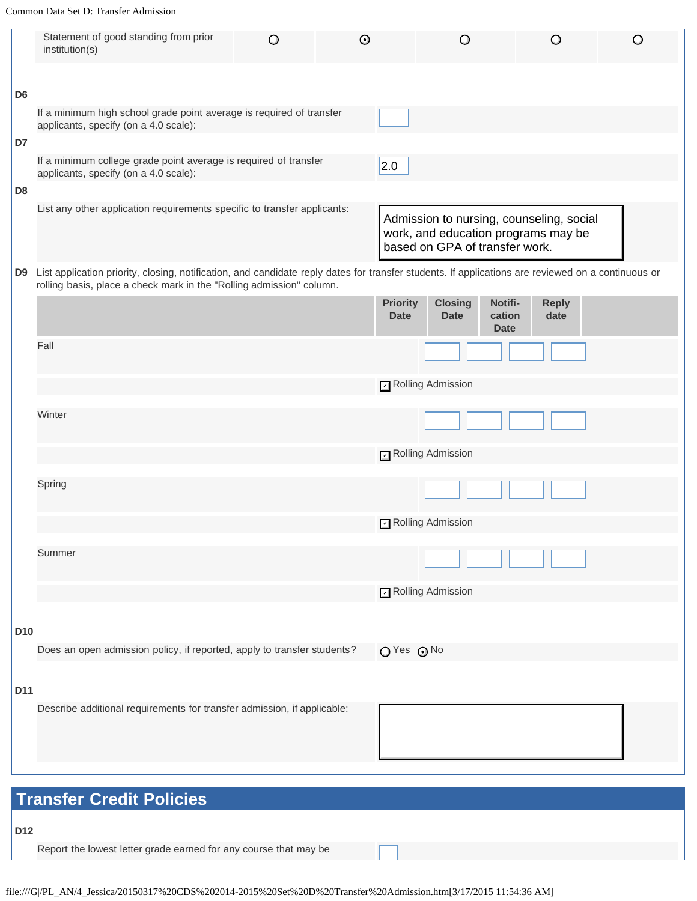#### Common Data Set D: Transfer Admission

|                 | Statement of good standing from prior<br>institution(s)                                                                                                                                                                    | $\circ$ | $\odot$                        | $\circ$                                                                                                           | O                    | O |
|-----------------|----------------------------------------------------------------------------------------------------------------------------------------------------------------------------------------------------------------------------|---------|--------------------------------|-------------------------------------------------------------------------------------------------------------------|----------------------|---|
| D <sub>6</sub>  |                                                                                                                                                                                                                            |         |                                |                                                                                                                   |                      |   |
|                 | If a minimum high school grade point average is required of transfer<br>applicants, specify (on a 4.0 scale):                                                                                                              |         |                                |                                                                                                                   |                      |   |
| D7              | If a minimum college grade point average is required of transfer<br>applicants, specify (on a 4.0 scale):                                                                                                                  |         | 2.0                            |                                                                                                                   |                      |   |
| D <sub>8</sub>  |                                                                                                                                                                                                                            |         |                                |                                                                                                                   |                      |   |
|                 | List any other application requirements specific to transfer applicants:                                                                                                                                                   |         |                                | Admission to nursing, counseling, social<br>work, and education programs may be<br>based on GPA of transfer work. |                      |   |
| D <sub>9</sub>  | List application priority, closing, notification, and candidate reply dates for transfer students. If applications are reviewed on a continuous or<br>rolling basis, place a check mark in the "Rolling admission" column. |         |                                |                                                                                                                   |                      |   |
|                 |                                                                                                                                                                                                                            |         | <b>Priority</b><br><b>Date</b> | <b>Closing</b><br>Notifi-<br><b>Date</b><br>cation<br><b>Date</b>                                                 | <b>Reply</b><br>date |   |
|                 | Fall                                                                                                                                                                                                                       |         |                                |                                                                                                                   |                      |   |
|                 |                                                                                                                                                                                                                            |         |                                | Rolling Admission                                                                                                 |                      |   |
|                 | Winter                                                                                                                                                                                                                     |         |                                |                                                                                                                   |                      |   |
|                 |                                                                                                                                                                                                                            |         |                                | □ Rolling Admission                                                                                               |                      |   |
|                 | Spring                                                                                                                                                                                                                     |         |                                |                                                                                                                   |                      |   |
|                 |                                                                                                                                                                                                                            |         |                                | Rolling Admission                                                                                                 |                      |   |
|                 | Summer                                                                                                                                                                                                                     |         |                                |                                                                                                                   |                      |   |
|                 |                                                                                                                                                                                                                            |         |                                | Rolling Admission                                                                                                 |                      |   |
| D <sub>10</sub> |                                                                                                                                                                                                                            |         |                                |                                                                                                                   |                      |   |
|                 | Does an open admission policy, if reported, apply to transfer students?                                                                                                                                                    |         |                                | $OYes ONo$                                                                                                        |                      |   |
| D11             |                                                                                                                                                                                                                            |         |                                |                                                                                                                   |                      |   |
|                 | Describe additional requirements for transfer admission, if applicable:                                                                                                                                                    |         |                                |                                                                                                                   |                      |   |
|                 |                                                                                                                                                                                                                            |         |                                |                                                                                                                   |                      |   |

### **Transfer Credit Policies**

#### **D12**

Report the lowest letter grade earned for any course that may be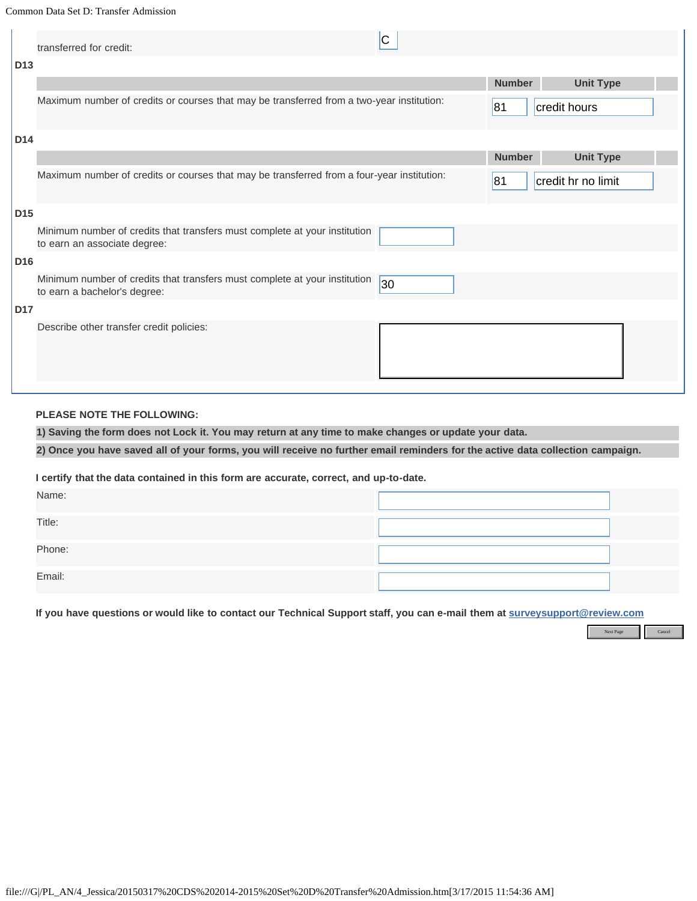#### Common Data Set D: Transfer Admission

|            | transferred for credit:                                                                                    | C               |                    |                    |
|------------|------------------------------------------------------------------------------------------------------------|-----------------|--------------------|--------------------|
| <b>D13</b> |                                                                                                            |                 |                    |                    |
|            |                                                                                                            |                 | <b>Number</b>      | <b>Unit Type</b>   |
|            | Maximum number of credits or courses that may be transferred from a two-year institution:                  |                 | 81<br>credit hours |                    |
| <b>D14</b> |                                                                                                            |                 |                    |                    |
|            |                                                                                                            |                 | <b>Number</b>      | <b>Unit Type</b>   |
|            | Maximum number of credits or courses that may be transferred from a four-year institution:                 |                 | 81                 | credit hr no limit |
| <b>D15</b> |                                                                                                            |                 |                    |                    |
|            | Minimum number of credits that transfers must complete at your institution<br>to earn an associate degree: |                 |                    |                    |
| <b>D16</b> |                                                                                                            |                 |                    |                    |
|            | Minimum number of credits that transfers must complete at your institution<br>to earn a bachelor's degree: | 30 <sub>o</sub> |                    |                    |
| <b>D17</b> |                                                                                                            |                 |                    |                    |
|            | Describe other transfer credit policies:                                                                   |                 |                    |                    |

#### **PLEASE NOTE THE FOLLOWING:**

**1) Saving the form does not Lock it. You may return at any time to make changes or update your data.**

**2) Once you have saved all of your forms, you will receive no further email reminders for the active data collection campaign.**

**I certify that the data contained in this form are accurate, correct, and up-to-date.**

| Name:  |  |
|--------|--|
| Title: |  |
| Phone: |  |
| Email: |  |

**If you have questions or would like to contact our Technical Support staff, you can e-mail them at [surveysupport@review.com](mailto:surveysupport@review.com)**

Next Page Cancel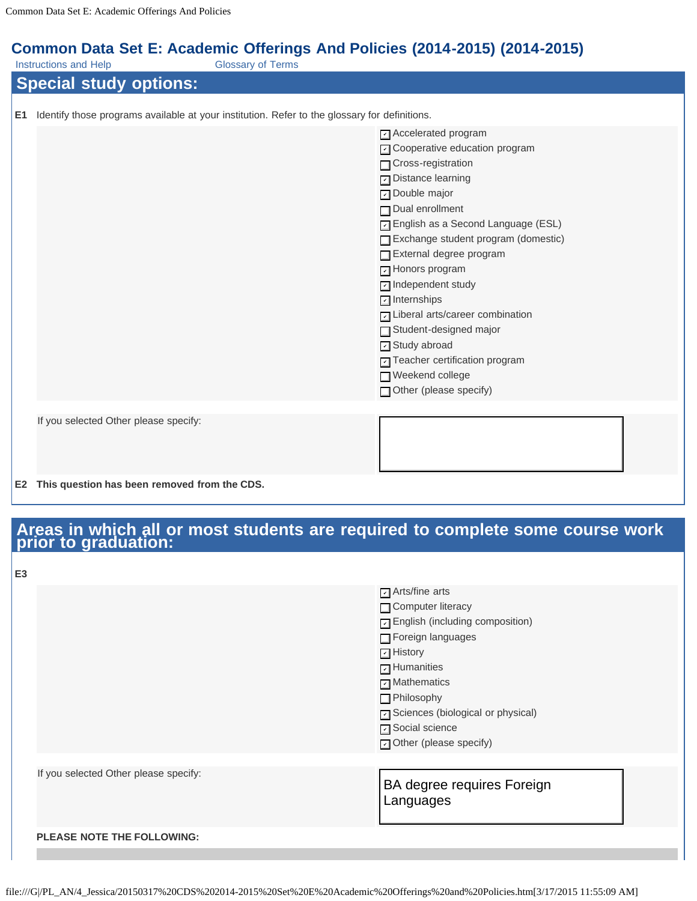### **Common Data Set E: Academic Offerings And Policies (2014-2015) (2014-2015)**

|                | <b>Instructions and Help</b>                                                                     | <b>Glossary of Terms</b> |                                                                                                                                                                                                                                                                                                                                                                                                                                                                                                |  |  |  |
|----------------|--------------------------------------------------------------------------------------------------|--------------------------|------------------------------------------------------------------------------------------------------------------------------------------------------------------------------------------------------------------------------------------------------------------------------------------------------------------------------------------------------------------------------------------------------------------------------------------------------------------------------------------------|--|--|--|
|                | <b>Special study options:</b>                                                                    |                          |                                                                                                                                                                                                                                                                                                                                                                                                                                                                                                |  |  |  |
|                | E1 Identify those programs available at your institution. Refer to the glossary for definitions. |                          |                                                                                                                                                                                                                                                                                                                                                                                                                                                                                                |  |  |  |
|                |                                                                                                  |                          | 7 Accelerated program<br>O Cooperative education program<br>□ Cross-registration<br>Distance learning<br>Double major<br>□ Dual enrollment<br>7 English as a Second Language (ESL)<br>Exchange student program (domestic)<br>External degree program<br><b>기</b> Honors program<br>Independent study<br>$\Box$ Internships<br>DI Liberal arts/career combination<br>Student-designed major<br>□ Study abroad<br>Teacher certification program<br>□ Weekend college<br>□ Other (please specify) |  |  |  |
|                | If you selected Other please specify:                                                            |                          |                                                                                                                                                                                                                                                                                                                                                                                                                                                                                                |  |  |  |
|                |                                                                                                  |                          |                                                                                                                                                                                                                                                                                                                                                                                                                                                                                                |  |  |  |
|                | E2 This question has been removed from the CDS.                                                  |                          |                                                                                                                                                                                                                                                                                                                                                                                                                                                                                                |  |  |  |
|                | Areas in which all or most students are required to complete some course work                    |                          |                                                                                                                                                                                                                                                                                                                                                                                                                                                                                                |  |  |  |
| E <sub>3</sub> |                                                                                                  |                          |                                                                                                                                                                                                                                                                                                                                                                                                                                                                                                |  |  |  |

|                                       | Arts/fine arts                    |
|---------------------------------------|-----------------------------------|
|                                       | Computer literacy                 |
|                                       | English (including composition)   |
|                                       | Foreign languages                 |
|                                       | <b>□</b> History                  |
|                                       | <b>□</b> Humanities               |
|                                       | □ Mathematics                     |
|                                       | Philosophy                        |
|                                       | Sciences (biological or physical) |
|                                       | □ Social science                  |
|                                       | Other (please specify)            |
|                                       |                                   |
| If you selected Other please specify: | BA degree requires Foreign        |
|                                       | Languages                         |
|                                       |                                   |
| <b>PLEASE NOTE THE FOLLOWING:</b>     |                                   |

file:///G|/PL\_AN/4\_Jessica/20150317%20CDS%202014-2015%20Set%20E%20Academic%20Offerings%20and%20Policies.htm[3/17/2015 11:55:09 AM]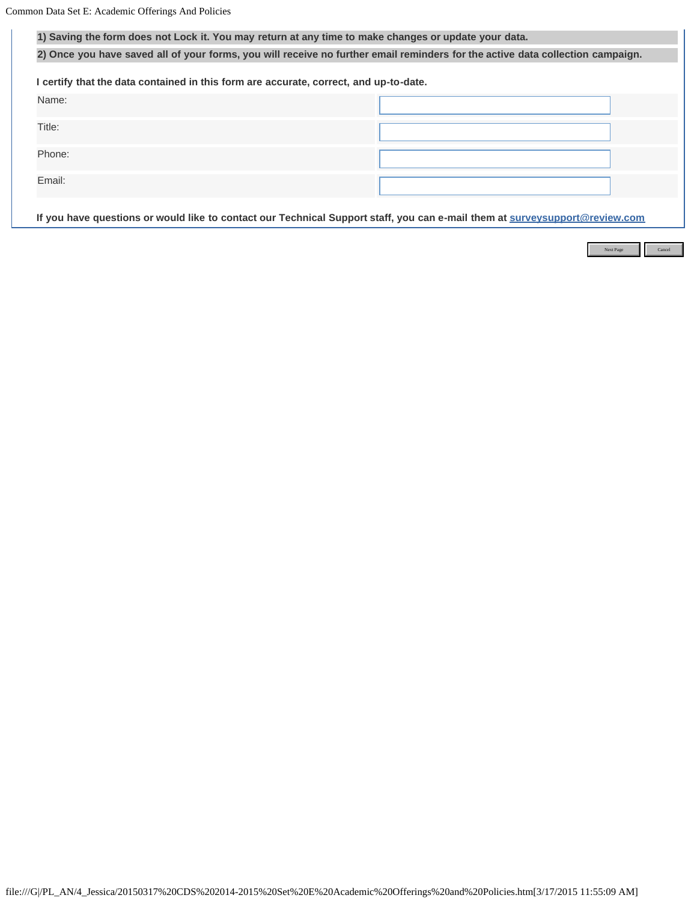| 1) Saving the form does not Lock it. You may return at any time to make changes or update your data.                           |  |  |  |  |
|--------------------------------------------------------------------------------------------------------------------------------|--|--|--|--|
| 2) Once you have saved all of your forms, you will receive no further email reminders for the active data collection campaign. |  |  |  |  |
| I certify that the data contained in this form are accurate, correct, and up-to-date.                                          |  |  |  |  |
| Name:                                                                                                                          |  |  |  |  |
| Title:                                                                                                                         |  |  |  |  |
| Phone:                                                                                                                         |  |  |  |  |
| Email:                                                                                                                         |  |  |  |  |
| If you have questions or would like to contact our Technical Support staff, you can e-mail them at survey support @review.com  |  |  |  |  |

Next Page Cancel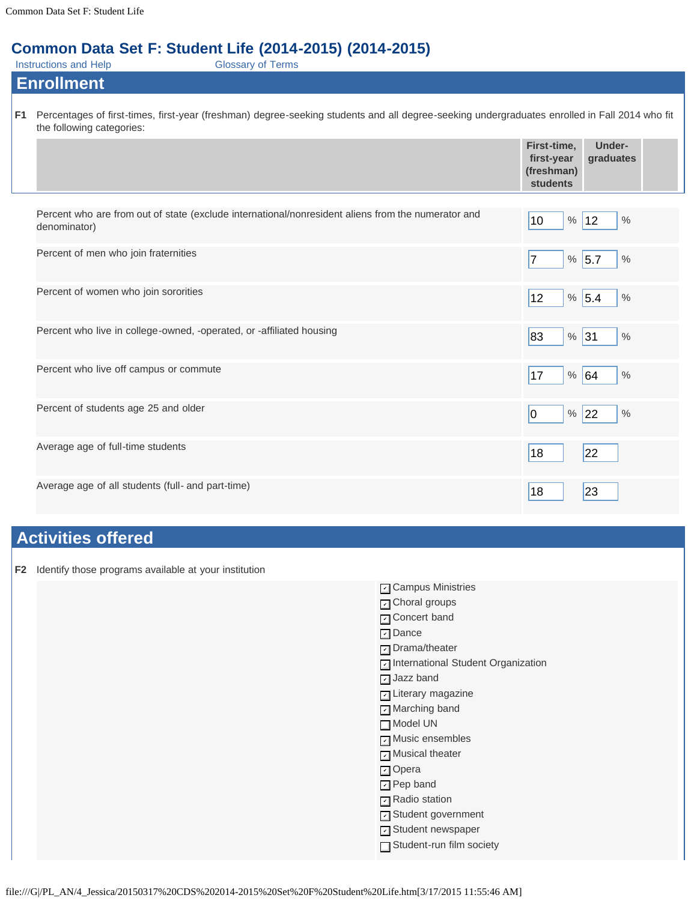## **Common Data Set F: Student Life (2014-2015) (2014-2015)**<br> **Clossary of Terms**

[Instructions and Help](javascript:;)

**F1** Percentages of first-times, first-year (freshman) degree-seeking students and all degree-seeking undergraduates enrolled in Fall 2014 who fit the following categories:

|                                                                                                                    | First-time.<br>first-year<br>(freshman)<br><b>students</b> | <b>Under-</b><br>graduates |  |
|--------------------------------------------------------------------------------------------------------------------|------------------------------------------------------------|----------------------------|--|
|                                                                                                                    |                                                            |                            |  |
| Percent who are from out of state (exclude international/nonresident aliens from the numerator and<br>denominator) | $\%$<br>10                                                 | $\%$<br>12                 |  |
| Percent of men who join fraternities                                                                               | 7<br>%                                                     | 5.7<br>$\%$                |  |
| Percent of women who join sororities                                                                               | 12<br>%                                                    | 5.4<br>$\%$                |  |
| Percent who live in college-owned, -operated, or -affiliated housing                                               | %<br>83                                                    | $\frac{0}{0}$<br>31        |  |
| Percent who live off campus or commute                                                                             | 17<br>%                                                    | 64<br>$\frac{0}{0}$        |  |
| Percent of students age 25 and older                                                                               | %<br>10                                                    | $\%$<br>22                 |  |
| Average age of full-time students                                                                                  | 18                                                         | 22                         |  |
| Average age of all students (full- and part-time)                                                                  | 18                                                         | 23                         |  |

### **Activities offered**

**F2** Identify those programs available at your institution

| □ Campus Ministries                |
|------------------------------------|
| <b>□</b> Choral groups             |
| □ Concert band                     |
| <b>口Dance</b>                      |
| <b>□</b> Drama/theater             |
| International Student Organization |
| <b>□</b> Jazz band                 |
| □ Literary magazine                |
| <b>जि</b> Marching band            |
| $\Box$ Model UN                    |
| □ Music ensembles                  |
| <b>□</b> Musical theater           |
| <b>口</b> Opera                     |
| <b>Pep band</b>                    |
| □ Radio station                    |
| □ Student government               |
| □ Student newspaper                |
| Student-run film society           |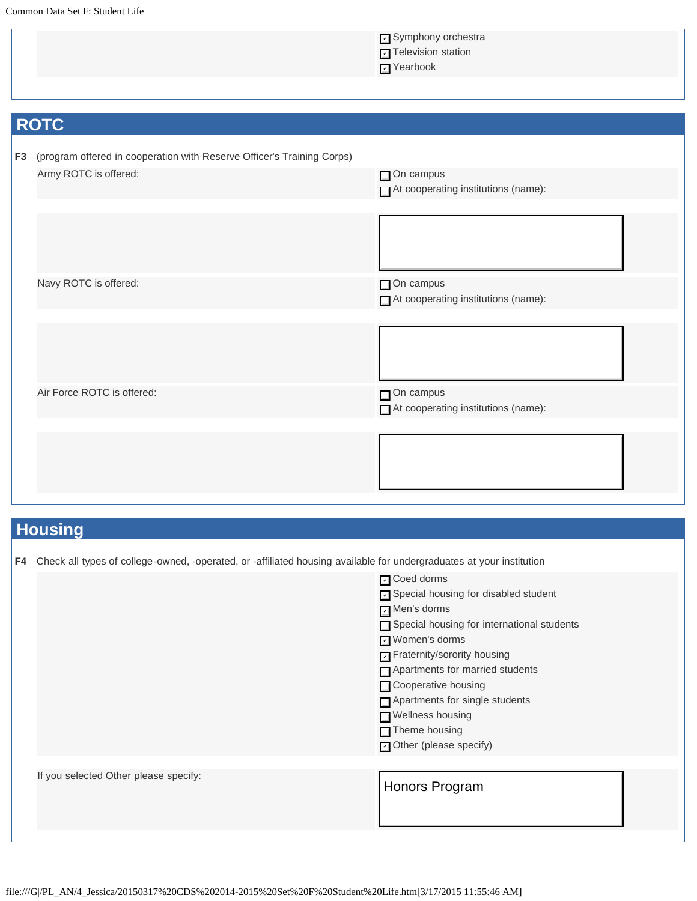| Symphony orchestra          |  |
|-----------------------------|--|
| <b>7</b> Television station |  |

Yearbook ✔

### **ROTC**

| F <sub>3</sub> | (program offered in cooperation with Reserve Officer's Training Corps) |                                                         |
|----------------|------------------------------------------------------------------------|---------------------------------------------------------|
|                | Army ROTC is offered:                                                  | $\Box$ On campus<br>At cooperating institutions (name): |
|                |                                                                        |                                                         |
|                | Navy ROTC is offered:                                                  | $\Box$ On campus<br>At cooperating institutions (name): |
|                |                                                                        |                                                         |
|                | Air Force ROTC is offered:                                             | $\Box$ On campus<br>At cooperating institutions (name): |
|                |                                                                        |                                                         |

### **Housing**

**F4** Check all types of college-owned, -operated, or -affiliated housing available for undergraduates at your institution

Coed dorms ✔ 7 Special housing for disabled student Men's dorms ✔ Special housing for international students Women's dorms ✔ 7 Fraternity/sorority housing Apartments for married students □ Cooperative housing Apartments for single students **□ Wellness housing** Theme housing **◯ Other (please specify)** If you selected Other please specify: Honors Program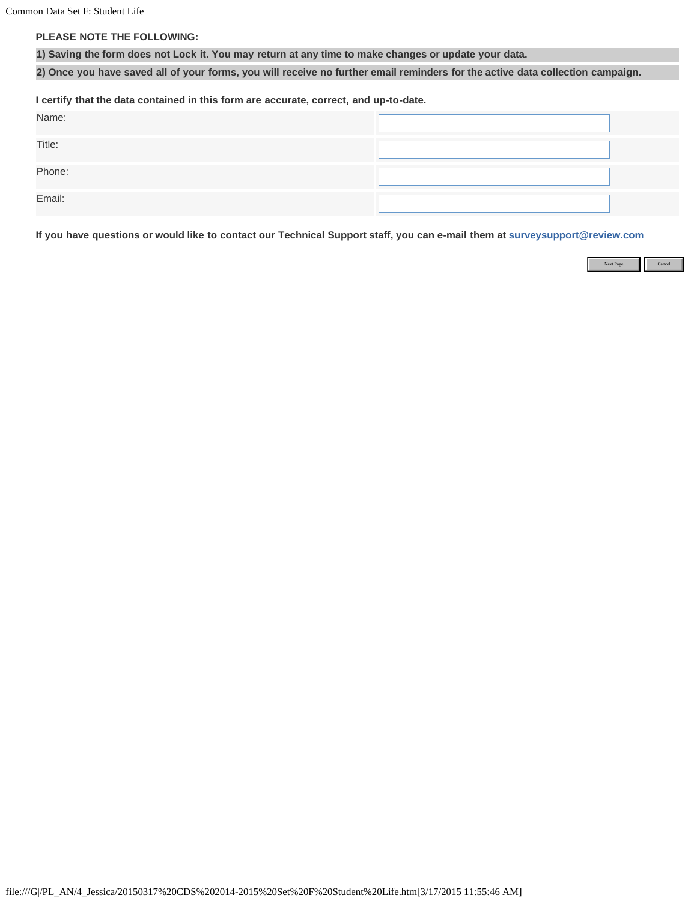#### **PLEASE NOTE THE FOLLOWING:**

**1) Saving the form does not Lock it. You may return at any time to make changes or update your data.**

**2) Once you have saved all of your forms, you will receive no further email reminders for the active data collection campaign.**

**I certify that the data contained in this form are accurate, correct, and up-to-date.**

| Name:  |  |
|--------|--|
| Title: |  |
| Phone: |  |
| Email: |  |

**If you have questions or would like to contact our Technical Support staff, you can e-mail them at [surveysupport@review.com](mailto:surveysupport@review.com)**

Next Page Cancel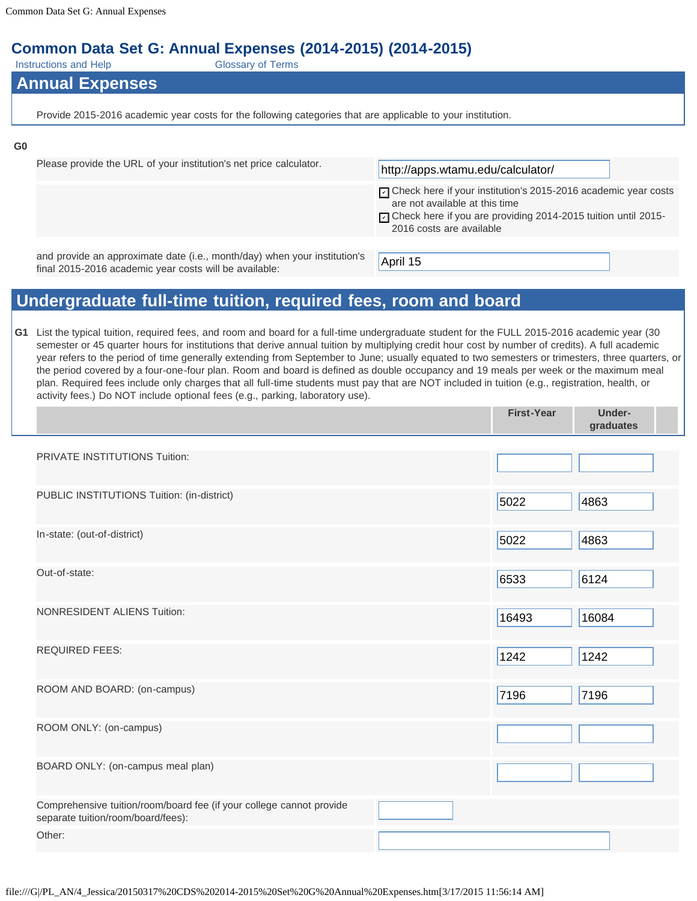### **Common Data Set G: Annual Expenses (2014-2015) (2014-2015)**

| <b>Glossary of Terms</b> |  |  |
|--------------------------|--|--|
|--------------------------|--|--|

| Instructions and Help  | <b>Glossary of Terms</b> |
|------------------------|--------------------------|
| <b>Annual Expenses</b> |                          |
|                        |                          |

Provide 2015-2016 academic year costs for the following categories that are applicable to your institution.

#### **G0**

| Please provide the URL of your institution's net price calculator.                                                                  | http://apps.wtamu.edu/calculator/                                                                                                                                                             |
|-------------------------------------------------------------------------------------------------------------------------------------|-----------------------------------------------------------------------------------------------------------------------------------------------------------------------------------------------|
|                                                                                                                                     | Oheck here if your institution's 2015-2016 academic year costs<br>are not available at this time<br>Oheck here if you are providing 2014-2015 tuition until 2015-<br>2016 costs are available |
|                                                                                                                                     |                                                                                                                                                                                               |
| and provide an approximate date (i.e., month/day) when your institution's<br>final 2015-2016 academic year costs will be available: | April 15                                                                                                                                                                                      |

### **Undergraduate full-time tuition, required fees, room and board**

**G1** List the typical tuition, required fees, and room and board for a full-time undergraduate student for the FULL 2015-2016 academic year (30 semester or 45 quarter hours for institutions that derive annual tuition by multiplying credit hour cost by number of credits). A full academic year refers to the period of time generally extending from September to June; usually equated to two semesters or trimesters, three quarters, or the period covered by a four-one-four plan. Room and board is defined as double occupancy and 19 meals per week or the maximum meal plan. Required fees include only charges that all full-time students must pay that are NOT included in tuition (e.g., registration, health, or activity fees.) Do NOT include optional fees (e.g., parking, laboratory use).

|                                                                                                            | <b>First-Year</b> | Under-<br>graduates |  |
|------------------------------------------------------------------------------------------------------------|-------------------|---------------------|--|
| <b>PRIVATE INSTITUTIONS Tuition:</b>                                                                       |                   |                     |  |
| PUBLIC INSTITUTIONS Tuition: (in-district)                                                                 | 5022              | 4863                |  |
| In-state: (out-of-district)                                                                                | 5022              | 4863                |  |
| Out-of-state:                                                                                              | 6533              | 6124                |  |
| <b>NONRESIDENT ALIENS Tuition:</b>                                                                         | 16493             | 16084               |  |
| <b>REQUIRED FEES:</b>                                                                                      | 1242              | 1242                |  |
| ROOM AND BOARD: (on-campus)                                                                                | 7196              | 7196                |  |
| ROOM ONLY: (on-campus)                                                                                     |                   |                     |  |
| BOARD ONLY: (on-campus meal plan)                                                                          |                   |                     |  |
| Comprehensive tuition/room/board fee (if your college cannot provide<br>separate tuition/room/board/fees): |                   |                     |  |
| Other:                                                                                                     |                   |                     |  |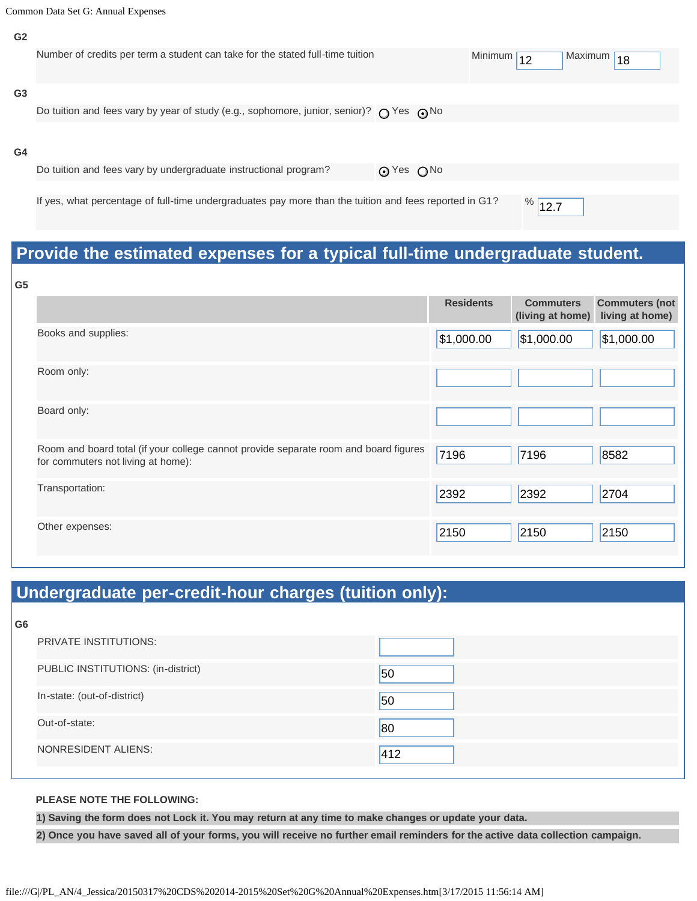#### **G2**

|                | Number of credits per term a student can take for the stated full-time tuition                          |                        | Minimum $12$ | Maximum 18 |  |
|----------------|---------------------------------------------------------------------------------------------------------|------------------------|--------------|------------|--|
| G <sub>3</sub> |                                                                                                         |                        |              |            |  |
|                | Do tuition and fees vary by year of study (e.g., sophomore, junior, senior)? $\bigcap$ Yes $\bigcap$ No |                        |              |            |  |
|                |                                                                                                         |                        |              |            |  |
| G4             |                                                                                                         |                        |              |            |  |
|                | Do tuition and fees vary by undergraduate instructional program?                                        | $\odot$ Yes $\odot$ No |              |            |  |
|                |                                                                                                         |                        |              |            |  |

 $\frac{8}{12.7}$ 

If yes, what percentage of full-time undergraduates pay more than the tuition and fees reported in G1?

### **Provide the estimated expenses for a typical full-time undergraduate student.**

| G <sub>5</sub> |                                                                                                                            |                  |                                      |                                          |
|----------------|----------------------------------------------------------------------------------------------------------------------------|------------------|--------------------------------------|------------------------------------------|
|                |                                                                                                                            | <b>Residents</b> | <b>Commuters</b><br>(living at home) | <b>Commuters (not</b><br>living at home) |
|                | Books and supplies:                                                                                                        | \$1,000.00       | \$1,000.00                           | \$1,000.00                               |
|                | Room only:                                                                                                                 |                  |                                      |                                          |
|                | Board only:                                                                                                                |                  |                                      |                                          |
|                | Room and board total (if your college cannot provide separate room and board figures<br>for commuters not living at home): | 7196             | 7196                                 | 8582                                     |
|                | Transportation:                                                                                                            | 2392             | 2392                                 | 2704                                     |
|                | Other expenses:                                                                                                            | 2150             | 2150                                 | 2150                                     |

### **Undergraduate per-credit-hour charges (tuition only):**

| G <sub>6</sub> |                                    |     |
|----------------|------------------------------------|-----|
|                | <b>PRIVATE INSTITUTIONS:</b>       |     |
|                | PUBLIC INSTITUTIONS: (in-district) | 50  |
|                | In-state: (out-of-district)        | 50  |
|                | Out-of-state:                      | 80  |
|                | NONRESIDENT ALIENS:                | 412 |

#### **PLEASE NOTE THE FOLLOWING:**

**1) Saving the form does not Lock it. You may return at any time to make changes or update your data.**

**2) Once you have saved all of your forms, you will receive no further email reminders for the active data collection campaign.**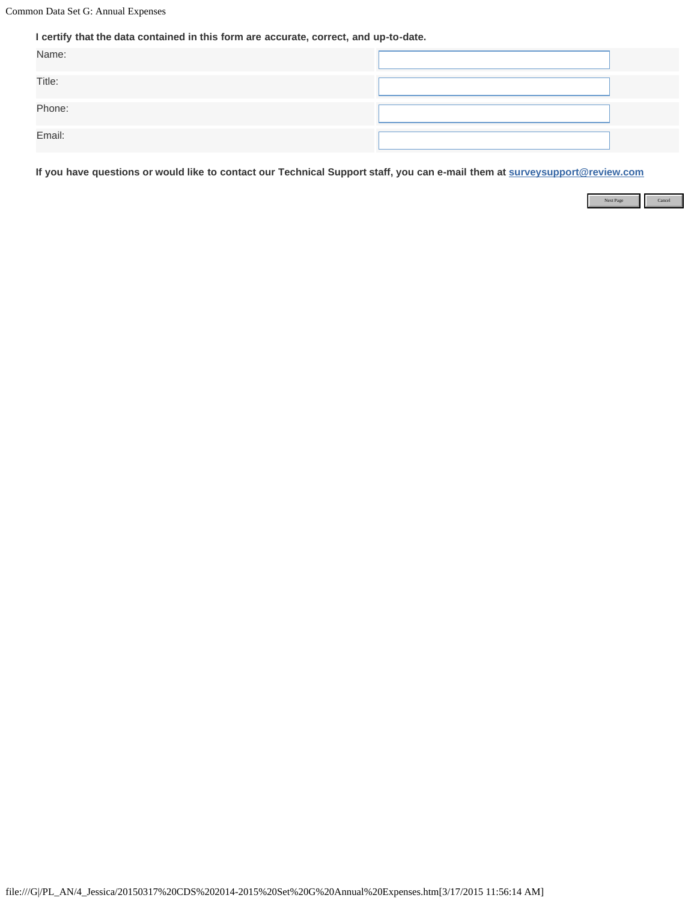#### Common Data Set G: Annual Expenses

#### **I certify that the data contained in this form are accurate, correct, and up-to-date.**

| Name:  |  |
|--------|--|
| Title: |  |
| Phone: |  |
| Email: |  |

**If you have questions or would like to contact our Technical Support staff, you can e-mail them at [surveysupport@review.com](mailto:surveysupport@review.com)**

Next Page Cancel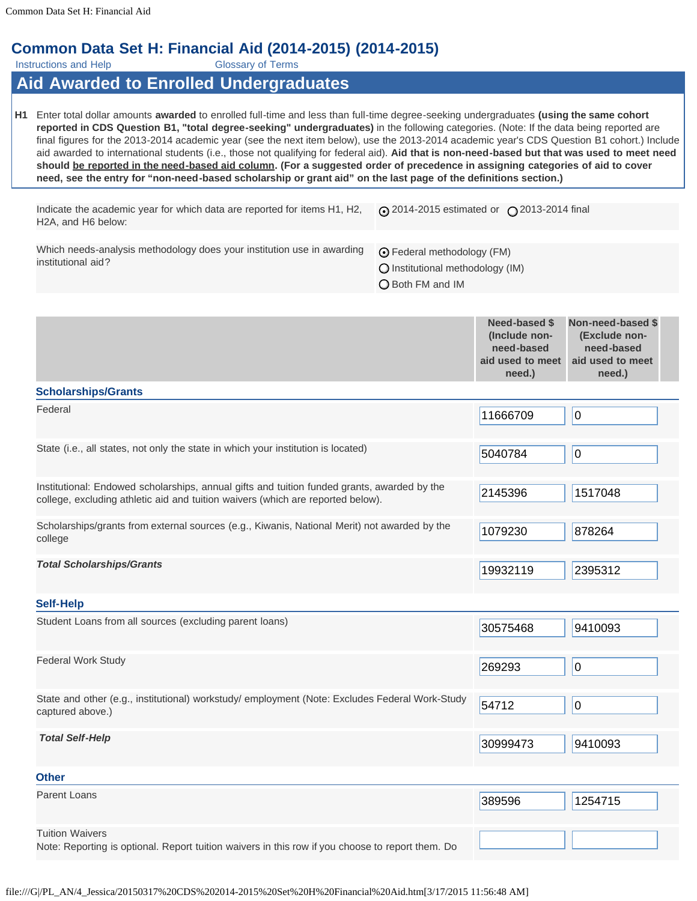[Instructions and Help](javascript:;)

**Self-Help**

# **Common Data Set H: Financial Aid (2014-2015) (2014-2015)**

### **Aid Awarded to Enrolled Undergraduates**

**H1** Enter total dollar amounts **awarded** to enrolled full-time and less than full-time degree-seeking undergraduates **(using the same cohort reported in CDS Question B1, "total degree-seeking" undergraduates)** in the following categories. (Note: If the data being reported are final figures for the 2013-2014 academic year (see the next item below), use the 2013-2014 academic year's CDS Question B1 cohort.) Include aid awarded to international students (i.e., those not qualifying for federal aid). **Aid that is non-need-based but that was used to meet need should be reported in the need-based aid column. (For a suggested order of precedence in assigning categories of aid to cover need, see the entry for "non-need-based scholarship or grant aid" on the last page of the definitions section.)**

| Indicate the academic year for which data are reported for items H1, H2, $\odot$ 2014-2015 estimated or $\odot$ 2013-2014 final<br>H2A, and H6 below: |                                                                                                   |
|-------------------------------------------------------------------------------------------------------------------------------------------------------|---------------------------------------------------------------------------------------------------|
| Which needs-analysis methodology does your institution use in awarding<br>institutional aid?                                                          | $\odot$ Federal methodology (FM)<br>$\bigcirc$ Institutional methodology (IM)<br>◯ Both FM and IM |

|                            | Need-based \$    | Non-need-based \$ |  |
|----------------------------|------------------|-------------------|--|
|                            | (Include non-    | (Exclude non-     |  |
|                            | need-based       | need-based        |  |
|                            | aid used to meet | aid used to meet  |  |
|                            | need.)           | need.)            |  |
| <b>Scholarships/Grants</b> |                  |                   |  |

| Federal                                                                                                                                                                        | 11666709<br>0       |
|--------------------------------------------------------------------------------------------------------------------------------------------------------------------------------|---------------------|
| State (i.e., all states, not only the state in which your institution is located)                                                                                              | 5040784<br>0        |
| Institutional: Endowed scholarships, annual gifts and tuition funded grants, awarded by the<br>college, excluding athletic aid and tuition waivers (which are reported below). | 2145396<br>1517048  |
| Scholarships/grants from external sources (e.g., Kiwanis, National Merit) not awarded by the<br>college                                                                        | 878264<br>1079230   |
| <b>Total Scholarships/Grants</b>                                                                                                                                               | 19932119<br>2395312 |

| <b>OGIL-LIGIP</b>                                                                                                  |          |         |
|--------------------------------------------------------------------------------------------------------------------|----------|---------|
| Student Loans from all sources (excluding parent loans)                                                            | 30575468 | 9410093 |
| <b>Federal Work Study</b>                                                                                          | 269293   | 0       |
| State and other (e.g., institutional) workstudy/ employment (Note: Excludes Federal Work-Study<br>captured above.) | 54712    | 0       |
| <b>Total Self-Help</b>                                                                                             | 30999473 | 9410093 |
| <b>Other</b>                                                                                                       |          |         |
| Parent Loans                                                                                                       |          |         |

| Parent Loans                                                                                                               | '389596 | 1254715 |  |
|----------------------------------------------------------------------------------------------------------------------------|---------|---------|--|
| <b>Tuition Waivers</b><br>Note: Reporting is optional. Report tuition waivers in this row if you choose to report them. Do |         |         |  |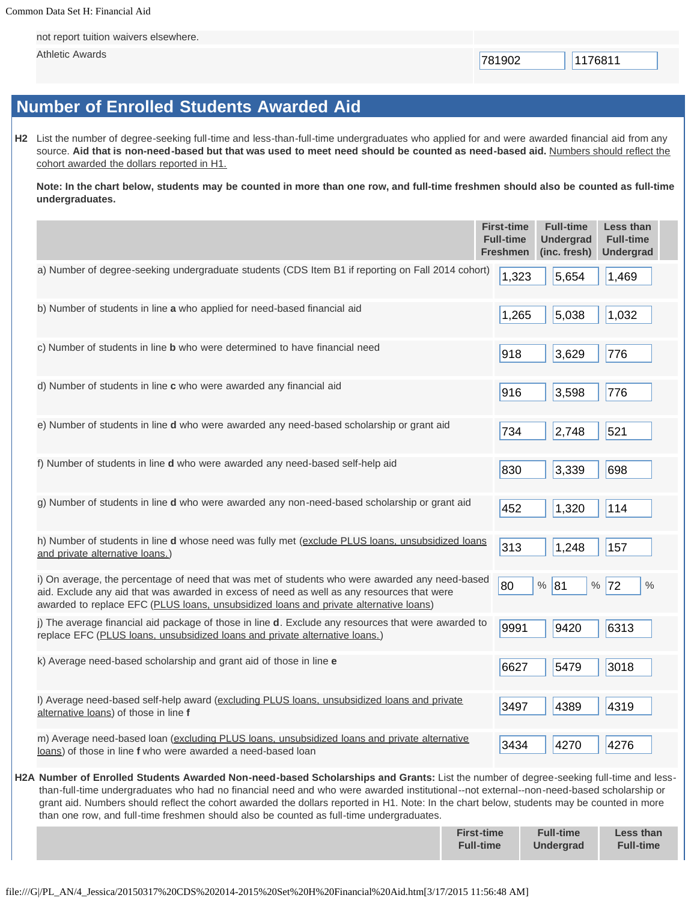not report tuition waivers elsewhere.

Athletic Awards

781902 1176811

### **Number of Enrolled Students Awarded Aid**

**H2** List the number of degree-seeking full-time and less-than-full-time undergraduates who applied for and were awarded financial aid from any source. **Aid that is non-need-based but that was used to meet need should be counted as need-based aid.** Numbers should reflect the cohort awarded the dollars reported in H1.

**Note: In the chart below, students may be counted in more than one row, and full-time freshmen should also be counted as full-time undergraduates.**

|                                                                                                                                                                                                                                                                                       | <b>Full-time</b><br><b>First-time</b><br><b>Less than</b><br><b>Full-time</b><br><b>Full-time</b><br><b>Undergrad</b><br><b>Freshmen</b><br>(inc. fresh)<br><b>Undergrad</b> |
|---------------------------------------------------------------------------------------------------------------------------------------------------------------------------------------------------------------------------------------------------------------------------------------|------------------------------------------------------------------------------------------------------------------------------------------------------------------------------|
| a) Number of degree-seeking undergraduate students (CDS Item B1 if reporting on Fall 2014 cohort)                                                                                                                                                                                     | 1,323<br>5,654<br>1,469                                                                                                                                                      |
| b) Number of students in line a who applied for need-based financial aid                                                                                                                                                                                                              | 1,265<br>5,038<br>1,032                                                                                                                                                      |
| c) Number of students in line <b>b</b> who were determined to have financial need                                                                                                                                                                                                     | 3,629<br>918<br>776                                                                                                                                                          |
| d) Number of students in line c who were awarded any financial aid                                                                                                                                                                                                                    | 916<br>3,598<br>776                                                                                                                                                          |
| e) Number of students in line d who were awarded any need-based scholarship or grant aid                                                                                                                                                                                              | 734<br>2,748<br>521                                                                                                                                                          |
| f) Number of students in line d who were awarded any need-based self-help aid                                                                                                                                                                                                         | 830<br>3,339<br>698                                                                                                                                                          |
| g) Number of students in line d who were awarded any non-need-based scholarship or grant aid                                                                                                                                                                                          | 1,320<br>452<br>114                                                                                                                                                          |
| h) Number of students in line d whose need was fully met (exclude PLUS loans, unsubsidized loans<br>and private alternative loans.)                                                                                                                                                   | 313<br>1,248<br>157                                                                                                                                                          |
| i) On average, the percentage of need that was met of students who were awarded any need-based<br>aid. Exclude any aid that was awarded in excess of need as well as any resources that were<br>awarded to replace EFC (PLUS loans, unsubsidized loans and private alternative loans) | 80<br>$\%$<br>$\%$<br>$\%$<br>81<br>72                                                                                                                                       |
| j) The average financial aid package of those in line d. Exclude any resources that were awarded to<br>replace EFC (PLUS loans, unsubsidized loans and private alternative loans.)                                                                                                    | 9991<br>9420<br>6313                                                                                                                                                         |
| k) Average need-based scholarship and grant aid of those in line e                                                                                                                                                                                                                    | 6627<br>5479<br>3018                                                                                                                                                         |
| I) Average need-based self-help award (excluding PLUS loans, unsubsidized loans and private<br>alternative loans) of those in line f                                                                                                                                                  | 3497<br>4389<br>4319                                                                                                                                                         |
| m) Average need-based loan (excluding PLUS loans, unsubsidized loans and private alternative<br>loans) of those in line f who were awarded a need-based loan                                                                                                                          | 3434<br>4270<br>4276                                                                                                                                                         |
| H2A Number of Enrolled Students Awarded Non-need-based Scholarships and Grants: List the number of degree-seeking full-time and less-                                                                                                                                                 |                                                                                                                                                                              |

than-full-time undergraduates who had no financial need and who were awarded institutional--not external--non-need-based scholarship or grant aid. Numbers should reflect the cohort awarded the dollars reported in H1. Note: In the chart below, students may be counted in more than one row, and full-time freshmen should also be counted as full-time undergraduates.

| <b>First-time</b> | <b>Full-time</b> | Less than        |
|-------------------|------------------|------------------|
| <b>Full-time</b>  | <b>Undergrad</b> | <b>Full-time</b> |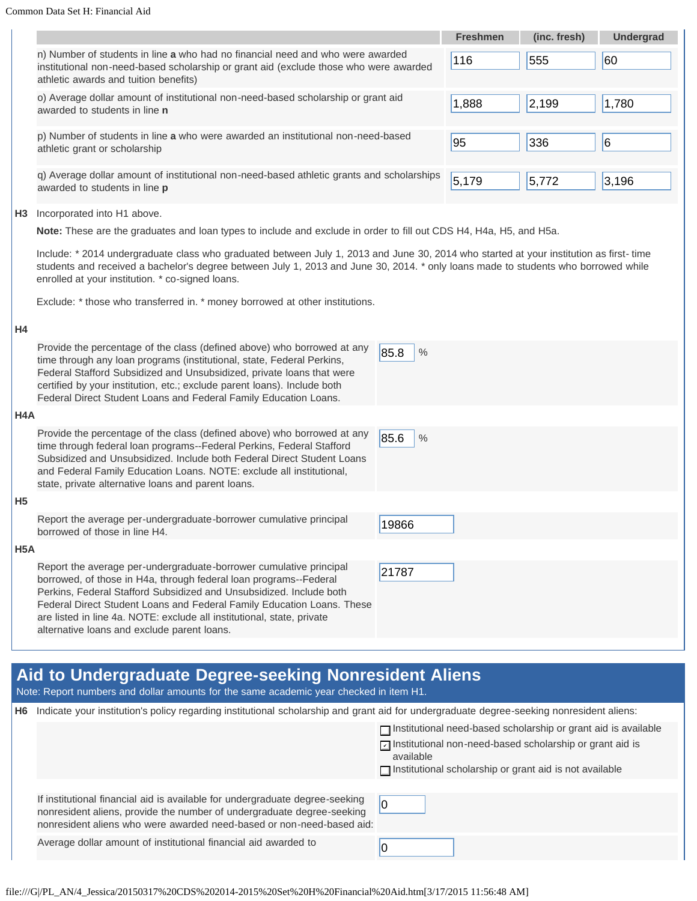|    |                                                                                                                                                                                                                                                                                                                                  | <b>Freshmen</b> | (inc. fresh) | <b>Undergrad</b> |  |  |
|----|----------------------------------------------------------------------------------------------------------------------------------------------------------------------------------------------------------------------------------------------------------------------------------------------------------------------------------|-----------------|--------------|------------------|--|--|
|    | n) Number of students in line a who had no financial need and who were awarded<br>institutional non-need-based scholarship or grant aid (exclude those who were awarded<br>athletic awards and tuition benefits)                                                                                                                 | 116             | 555          | 60               |  |  |
|    | o) Average dollar amount of institutional non-need-based scholarship or grant aid<br>awarded to students in line <b>n</b>                                                                                                                                                                                                        | 1,888           | 2,199        | 1,780            |  |  |
|    | p) Number of students in line a who were awarded an institutional non-need-based<br>athletic grant or scholarship                                                                                                                                                                                                                | 95              | 336          | 6                |  |  |
|    | q) Average dollar amount of institutional non-need-based athletic grants and scholarships<br>awarded to students in line <b>p</b>                                                                                                                                                                                                | 5,179           | 5,772        | 3,196            |  |  |
| H3 | Incorporated into H1 above.                                                                                                                                                                                                                                                                                                      |                 |              |                  |  |  |
|    | Note: These are the graduates and loan types to include and exclude in order to fill out CDS H4, H4a, H5, and H5a.                                                                                                                                                                                                               |                 |              |                  |  |  |
|    | Include: * 2014 undergraduate class who graduated between July 1, 2013 and June 30, 2014 who started at your institution as first-time<br>students and received a bachelor's degree between July 1, 2013 and June 30, 2014. * only loans made to students who borrowed while<br>enrolled at your institution. * co-signed loans. |                 |              |                  |  |  |

Exclude: \* those who transferred in. \* money borrowed at other institutions.

#### **H4**

|           | Provide the percentage of the class (defined above) who borrowed at any<br>time through any loan programs (institutional, state, Federal Perkins,<br>Federal Stafford Subsidized and Unsubsidized, private loans that were<br>certified by your institution, etc.; exclude parent loans). Include both<br>Federal Direct Student Loans and Federal Family Education Loans.                                        | 85.8<br>$\frac{0}{0}$ |
|-----------|-------------------------------------------------------------------------------------------------------------------------------------------------------------------------------------------------------------------------------------------------------------------------------------------------------------------------------------------------------------------------------------------------------------------|-----------------------|
| H4A       |                                                                                                                                                                                                                                                                                                                                                                                                                   |                       |
|           | Provide the percentage of the class (defined above) who borrowed at any<br>time through federal loan programs--Federal Perkins, Federal Stafford<br>Subsidized and Unsubsidized. Include both Federal Direct Student Loans<br>and Federal Family Education Loans. NOTE: exclude all institutional,<br>state, private alternative loans and parent loans.                                                          | 85.6<br>$\frac{0}{0}$ |
| <b>H5</b> |                                                                                                                                                                                                                                                                                                                                                                                                                   |                       |
|           | Report the average per-undergraduate-borrower cumulative principal<br>borrowed of those in line H4.                                                                                                                                                                                                                                                                                                               | 19866                 |
| H5A       |                                                                                                                                                                                                                                                                                                                                                                                                                   |                       |
|           | Report the average per-undergraduate-borrower cumulative principal<br>borrowed, of those in H4a, through federal loan programs--Federal<br>Perkins, Federal Stafford Subsidized and Unsubsidized. Include both<br>Federal Direct Student Loans and Federal Family Education Loans. These<br>are listed in line 4a. NOTE: exclude all institutional, state, private<br>alternative loans and exclude parent loans. | 21787                 |
|           |                                                                                                                                                                                                                                                                                                                                                                                                                   |                       |

### **Aid to Undergraduate Degree-seeking Nonresident Aliens**

Note: Report numbers and dollar amounts for the same academic year checked in item H1.

| H6. | Indicate your institution's policy regarding institutional scholarship and grant aid for undergraduate degree-seeking nonresident aliens:                                                                                       |                                                                       |
|-----|---------------------------------------------------------------------------------------------------------------------------------------------------------------------------------------------------------------------------------|-----------------------------------------------------------------------|
|     |                                                                                                                                                                                                                                 | □ Institutional need-based scholarship or grant aid is available      |
|     |                                                                                                                                                                                                                                 | Institutional non-need-based scholarship or grant aid is<br>available |
|     |                                                                                                                                                                                                                                 | □ Institutional scholarship or grant aid is not available             |
|     |                                                                                                                                                                                                                                 |                                                                       |
|     | If institutional financial aid is available for undergraduate degree-seeking<br>nonresident aliens, provide the number of undergraduate degree-seeking<br>nonresident aliens who were awarded need-based or non-need-based aid: | 10                                                                    |
|     | Average dollar amount of institutional financial aid awarded to                                                                                                                                                                 |                                                                       |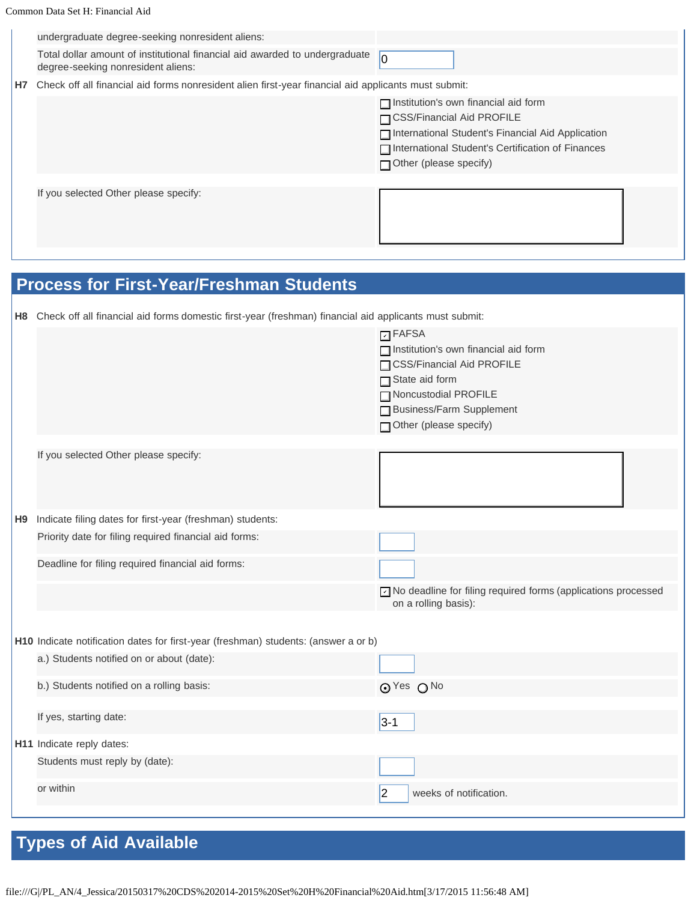#### Common Data Set H: Financial Aid

|           | undergraduate degree-seeking nonresident aliens:                                                                  |                                                                                                                                                                                                                    |
|-----------|-------------------------------------------------------------------------------------------------------------------|--------------------------------------------------------------------------------------------------------------------------------------------------------------------------------------------------------------------|
|           | Total dollar amount of institutional financial aid awarded to undergraduate<br>degree-seeking nonresident aliens: | 0                                                                                                                                                                                                                  |
| <b>H7</b> | Check off all financial aid forms nonresident alien first-year financial aid applicants must submit:              |                                                                                                                                                                                                                    |
|           |                                                                                                                   | Institution's own financial aid form<br>□ CSS/Financial Aid PROFILE<br>□ International Student's Financial Aid Application<br>□ International Student's Certification of Finances<br>$\Box$ Other (please specify) |
|           | If you selected Other please specify:                                                                             |                                                                                                                                                                                                                    |

## **Process for First-Year/Freshman Students**

| H8 Check off all financial aid forms domestic first-year (freshman) financial aid applicants must submit: |  |  |
|-----------------------------------------------------------------------------------------------------------|--|--|
|                                                                                                           |  |  |

|    |                                                                                     | $\Box$ FAFSA<br>□ Institution's own financial aid form<br>□ CSS/Financial Aid PROFILE<br>□ State aid form<br>Noncustodial PROFILE<br>Business/Farm Supplement<br>Other (please specify) |
|----|-------------------------------------------------------------------------------------|-----------------------------------------------------------------------------------------------------------------------------------------------------------------------------------------|
|    | If you selected Other please specify:                                               |                                                                                                                                                                                         |
| H9 | Indicate filing dates for first-year (freshman) students:                           |                                                                                                                                                                                         |
|    | Priority date for filing required financial aid forms:                              |                                                                                                                                                                                         |
|    | Deadline for filing required financial aid forms:                                   |                                                                                                                                                                                         |
|    |                                                                                     | 7 No deadline for filing required forms (applications processed<br>on a rolling basis):                                                                                                 |
|    |                                                                                     |                                                                                                                                                                                         |
|    | H10 Indicate notification dates for first-year (freshman) students: (answer a or b) |                                                                                                                                                                                         |
|    | a.) Students notified on or about (date):                                           |                                                                                                                                                                                         |
|    | b.) Students notified on a rolling basis:                                           | $O$ Yes $O$ No                                                                                                                                                                          |
|    | If yes, starting date:                                                              | $3 - 1$                                                                                                                                                                                 |
|    | H11 Indicate reply dates:                                                           |                                                                                                                                                                                         |
|    | Students must reply by (date):                                                      |                                                                                                                                                                                         |
|    | or within                                                                           | $ 2\rangle$<br>weeks of notification.                                                                                                                                                   |
|    |                                                                                     |                                                                                                                                                                                         |

## **Types of Aid Available**

file:///G|/PL\_AN/4\_Jessica/20150317%20CDS%202014-2015%20Set%20H%20Financial%20Aid.htm[3/17/2015 11:56:48 AM]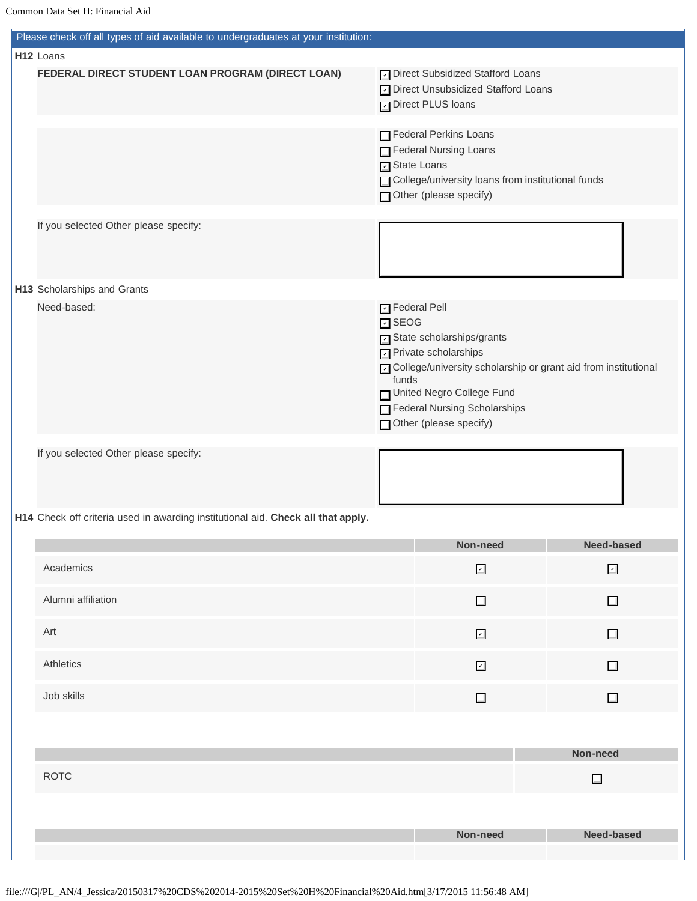| Please check off all types of aid available to undergraduates at your institution: |                                                                                                                                                                                                                                                     |                                                                                                                                                |                       |  |  |
|------------------------------------------------------------------------------------|-----------------------------------------------------------------------------------------------------------------------------------------------------------------------------------------------------------------------------------------------------|------------------------------------------------------------------------------------------------------------------------------------------------|-----------------------|--|--|
| H12 Loans                                                                          |                                                                                                                                                                                                                                                     |                                                                                                                                                |                       |  |  |
| FEDERAL DIRECT STUDENT LOAN PROGRAM (DIRECT LOAN)                                  |                                                                                                                                                                                                                                                     | Direct Subsidized Stafford Loans<br>Direct Unsubsidized Stafford Loans<br>Direct PLUS loans                                                    |                       |  |  |
|                                                                                    |                                                                                                                                                                                                                                                     | Federal Perkins Loans<br>Federal Nursing Loans<br>State Loans<br>□ College/university loans from institutional funds<br>Other (please specify) |                       |  |  |
| If you selected Other please specify:                                              |                                                                                                                                                                                                                                                     |                                                                                                                                                |                       |  |  |
| H13 Scholarships and Grants                                                        |                                                                                                                                                                                                                                                     |                                                                                                                                                |                       |  |  |
| Need-based:                                                                        | Federal Pell<br><b>D</b> SEOG<br>State scholarships/grants<br>Private scholarships<br>Ollege/university scholarship or grant aid from institutional<br>funds<br>United Negro College Fund<br>Federal Nursing Scholarships<br>Other (please specify) |                                                                                                                                                |                       |  |  |
| If you selected Other please specify:                                              |                                                                                                                                                                                                                                                     |                                                                                                                                                |                       |  |  |
| H14 Check off criteria used in awarding institutional aid. Check all that apply.   |                                                                                                                                                                                                                                                     |                                                                                                                                                |                       |  |  |
|                                                                                    |                                                                                                                                                                                                                                                     | Non-need                                                                                                                                       | Need-based            |  |  |
| Academics                                                                          |                                                                                                                                                                                                                                                     | $\overline{\mathbb{Z}}$                                                                                                                        | $\boxed{\mathcal{L}}$ |  |  |
| Alumni affiliation                                                                 |                                                                                                                                                                                                                                                     | $\Box$                                                                                                                                         | $\Box$                |  |  |
| Art                                                                                |                                                                                                                                                                                                                                                     | $\overline{\mathbb{Z}}$                                                                                                                        | $\Box$                |  |  |
| Athletics                                                                          |                                                                                                                                                                                                                                                     | $\sqrt{2}$                                                                                                                                     | $\Box$                |  |  |
| Job skills                                                                         |                                                                                                                                                                                                                                                     | $\Box$                                                                                                                                         | $\Box$                |  |  |
|                                                                                    |                                                                                                                                                                                                                                                     |                                                                                                                                                |                       |  |  |
|                                                                                    |                                                                                                                                                                                                                                                     |                                                                                                                                                | Non-need              |  |  |
| <b>ROTC</b>                                                                        |                                                                                                                                                                                                                                                     |                                                                                                                                                | $\Box$                |  |  |
|                                                                                    |                                                                                                                                                                                                                                                     | Non-need                                                                                                                                       | <b>Need-based</b>     |  |  |
|                                                                                    |                                                                                                                                                                                                                                                     |                                                                                                                                                |                       |  |  |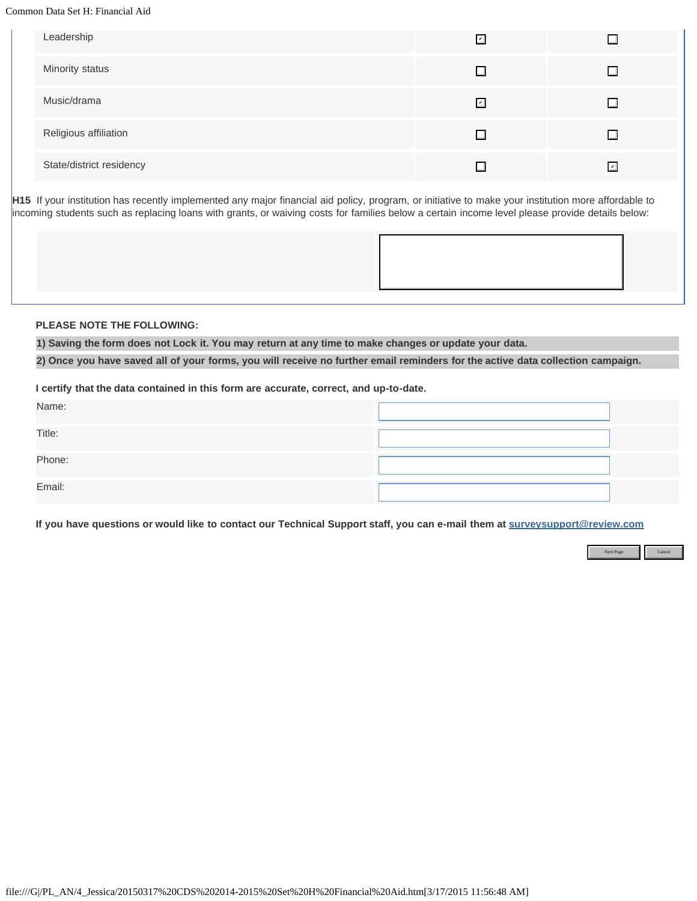#### Common Data Set H: Financial Aid

| Leadership               | ☑      | $\Box$ |
|--------------------------|--------|--------|
| Minority status          | $\Box$ | $\Box$ |
| Music/drama              | ☑      |        |
| Religious affiliation    |        |        |
| State/district residency |        | ⊡      |

**H15** If your institution has recently implemented any major financial aid policy, program, or initiative to make your institution more affordable to incoming students such as replacing loans with grants, or waiving costs for families below a certain income level please provide details below:

#### **PLEASE NOTE THE FOLLOWING:**

**1) Saving the form does not Lock it. You may return at any time to make changes or update your data.**

**2) Once you have saved all of your forms, you will receive no further email reminders for the active data collection campaign.**

**I certify that the data contained in this form are accurate, correct, and up-to-date.**

| Name:  |  |
|--------|--|
| Title: |  |
| Phone: |  |
| Email: |  |

**If you have questions or would like to contact our Technical Support staff, you can e-mail them at [surveysupport@review.com](mailto:surveysupport@review.com)**

Next Page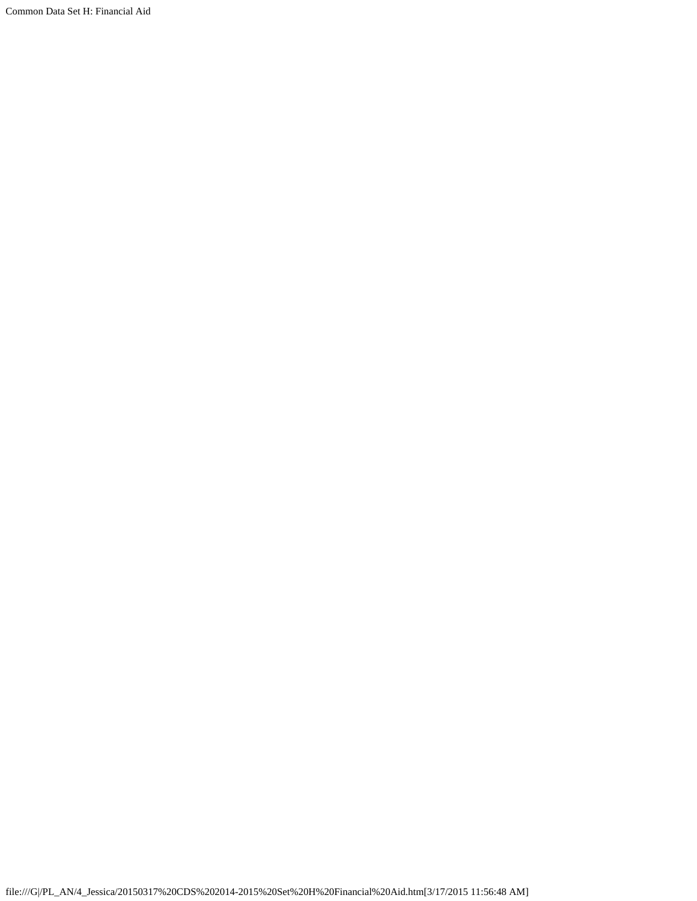Common Data Set H: Financial Aid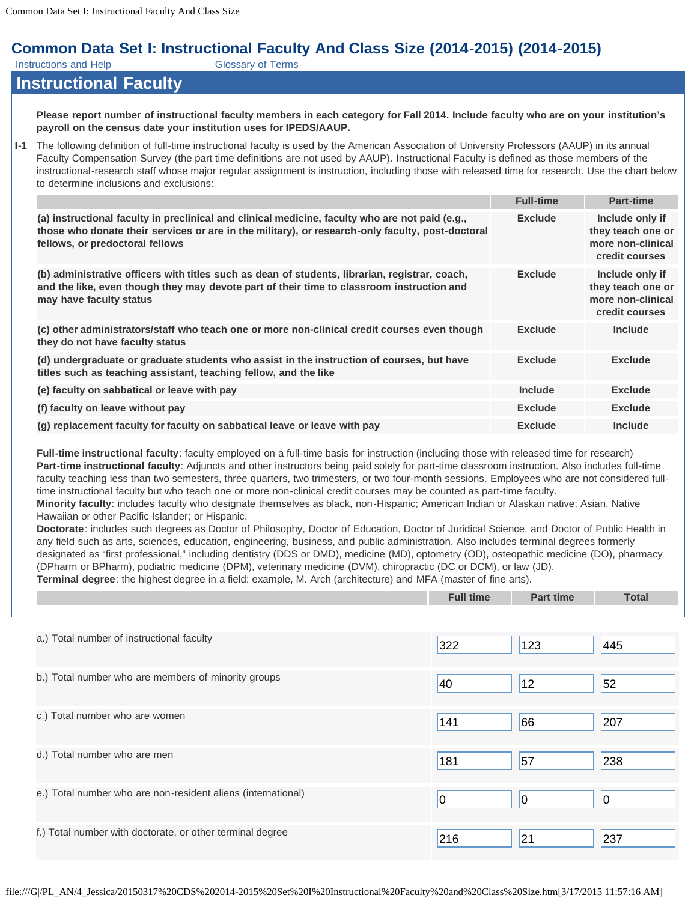### **Common Data Set I: Instructional Faculty And Class Size (2014-2015) (2014-2015)**

[Instructions and Help](javascript:;) [Glossary of Terms](javascript:;)

### **Instructional Faculty**

**Please report number of instructional faculty members in each category for Fall 2014. Include faculty who are on your institution's payroll on the census date your institution uses for IPEDS/AAUP.**

**I-1** The following definition of full-time instructional faculty is used by the American Association of University Professors (AAUP) in its annual Faculty Compensation Survey (the part time definitions are not used by AAUP). Instructional Faculty is defined as those members of the instructional-research staff whose major regular assignment is instruction, including those with released time for research. Use the chart below to determine inclusions and exclusions:

|                                                                                                                                                                                                                                        | <b>Full-time</b> | <b>Part-time</b>                                                            |
|----------------------------------------------------------------------------------------------------------------------------------------------------------------------------------------------------------------------------------------|------------------|-----------------------------------------------------------------------------|
| (a) instructional faculty in preclinical and clinical medicine, faculty who are not paid (e.g.,<br>those who donate their services or are in the military), or research-only faculty, post-doctoral<br>fellows, or predoctoral fellows | <b>Exclude</b>   | Include only if<br>they teach one or<br>more non-clinical<br>credit courses |
| (b) administrative officers with titles such as dean of students, librarian, registrar, coach,<br>and the like, even though they may devote part of their time to classroom instruction and<br>may have faculty status                 | Exclude          | Include only if<br>they teach one or<br>more non-clinical<br>credit courses |
| (c) other administrators/staff who teach one or more non-clinical credit courses even though<br>they do not have faculty status                                                                                                        | <b>Exclude</b>   | <b>Include</b>                                                              |
| (d) undergraduate or graduate students who assist in the instruction of courses, but have<br>titles such as teaching assistant, teaching fellow, and the like                                                                          | <b>Exclude</b>   | <b>Exclude</b>                                                              |
| (e) faculty on sabbatical or leave with pay                                                                                                                                                                                            | <b>Include</b>   | <b>Exclude</b>                                                              |
| (f) faculty on leave without pay                                                                                                                                                                                                       | <b>Exclude</b>   | <b>Exclude</b>                                                              |
| (g) replacement faculty for faculty on sabbatical leave or leave with pay                                                                                                                                                              | <b>Exclude</b>   | <b>Include</b>                                                              |

**Full-time instructional faculty**: faculty employed on a full-time basis for instruction (including those with released time for research) **Part-time instructional faculty**: Adjuncts and other instructors being paid solely for part-time classroom instruction. Also includes full-time faculty teaching less than two semesters, three quarters, two trimesters, or two four-month sessions. Employees who are not considered fulltime instructional faculty but who teach one or more non-clinical credit courses may be counted as part-time faculty.

**Minority faculty**: includes faculty who designate themselves as black, non-Hispanic; American Indian or Alaskan native; Asian, Native Hawaiian or other Pacific Islander; or Hispanic.

**Doctorate**: includes such degrees as Doctor of Philosophy, Doctor of Education, Doctor of Juridical Science, and Doctor of Public Health in any field such as arts, sciences, education, engineering, business, and public administration. Also includes terminal degrees formerly designated as "first professional," including dentistry (DDS or DMD), medicine (MD), optometry (OD), osteopathic medicine (DO), pharmacy (DPharm or BPharm), podiatric medicine (DPM), veterinary medicine (DVM), chiropractic (DC or DCM), or law (JD). **Terminal degree**: the highest degree in a field: example, M. Arch (architecture) and MFA (master of fine arts).

|                                                              | <b>Full time</b> | <b>Part time</b> | <b>Total</b> |
|--------------------------------------------------------------|------------------|------------------|--------------|
|                                                              |                  |                  |              |
| a.) Total number of instructional faculty                    | 322              | 123              | 445          |
| b.) Total number who are members of minority groups          | 40               | 12               | 52           |
| c.) Total number who are women                               | 141              | 66               | 207          |
| d.) Total number who are men                                 | 181              | 57               | 238          |
| e.) Total number who are non-resident aliens (international) |                  | $ 0\rangle$      | 0            |
| f.) Total number with doctorate, or other terminal degree    | 216              | 21               | 237          |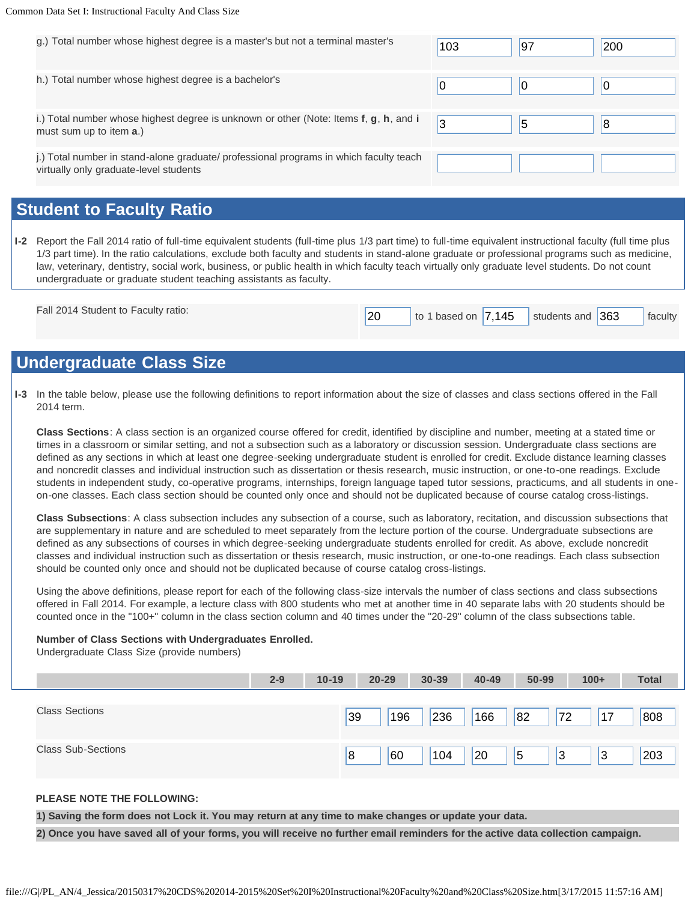| g.) Total number whose highest degree is a master's but not a terminal master's                                                  | 97<br>200<br>103 |
|----------------------------------------------------------------------------------------------------------------------------------|------------------|
| h.) Total number whose highest degree is a bachelor's                                                                            | 0.               |
| i.) Total number whose highest degree is unknown or other (Note: Items f, g, h, and i<br>must sum up to item <b>a</b> .)         | 15<br>8          |
| j.) Total number in stand-alone graduate/ professional programs in which faculty teach<br>virtually only graduate-level students |                  |

### **Student to Faculty Ratio**

**I-2** Report the Fall 2014 ratio of full-time equivalent students (full-time plus 1/3 part time) to full-time equivalent instructional faculty (full time plus 1/3 part time). In the ratio calculations, exclude both faculty and students in stand-alone graduate or professional programs such as medicine, law, veterinary, dentistry, social work, business, or public health in which faculty teach virtually only graduate level students. Do not count undergraduate or graduate student teaching assistants as faculty.

to 1 based on  $\vert 7,145 \vert$ 

Fall 2014 Student to Faculty ratio:  $\boxed{20}$  to 1 based on  $\boxed{7.145}$  students and  $\boxed{363}$  faculty

### **Undergraduate Class Size**

**I-3** In the table below, please use the following definitions to report information about the size of classes and class sections offered in the Fall 2014 term.

**Class Sections**: A class section is an organized course offered for credit, identified by discipline and number, meeting at a stated time or times in a classroom or similar setting, and not a subsection such as a laboratory or discussion session. Undergraduate class sections are defined as any sections in which at least one degree-seeking undergraduate student is enrolled for credit. Exclude distance learning classes and noncredit classes and individual instruction such as dissertation or thesis research, music instruction, or one-to-one readings. Exclude students in independent study, co-operative programs, internships, foreign language taped tutor sessions, practicums, and all students in oneon-one classes. Each class section should be counted only once and should not be duplicated because of course catalog cross-listings.

**Class Subsections**: A class subsection includes any subsection of a course, such as laboratory, recitation, and discussion subsections that are supplementary in nature and are scheduled to meet separately from the lecture portion of the course. Undergraduate subsections are defined as any subsections of courses in which degree-seeking undergraduate students enrolled for credit. As above, exclude noncredit classes and individual instruction such as dissertation or thesis research, music instruction, or one-to-one readings. Each class subsection should be counted only once and should not be duplicated because of course catalog cross-listings.

Using the above definitions, please report for each of the following class-size intervals the number of class sections and class subsections offered in Fall 2014. For example, a lecture class with 800 students who met at another time in 40 separate labs with 20 students should be counted once in the "100+" column in the class section column and 40 times under the "20-29" column of the class subsections table.

#### **Number of Class Sections with Undergraduates Enrolled.**

Undergraduate Class Size (provide numbers)

|                           | $2 - 9$ | $10 - 19$ | $20 - 29$ | $30 - 39$ | $40 - 49$ | 50-99    | $100+$ | <b>Total</b> |
|---------------------------|---------|-----------|-----------|-----------|-----------|----------|--------|--------------|
| <b>Class Sections</b>     |         | 39        | 196       | 236       | 166       | 82<br>72 | .17    | 808          |
| <b>Class Sub-Sections</b> |         | 8         | 60        | 104       | 20        | 5<br>13  | 3      | 203          |

#### **PLEASE NOTE THE FOLLOWING:**

**1) Saving the form does not Lock it. You may return at any time to make changes or update your data. 2) Once you have saved all of your forms, you will receive no further email reminders for the active data collection campaign.**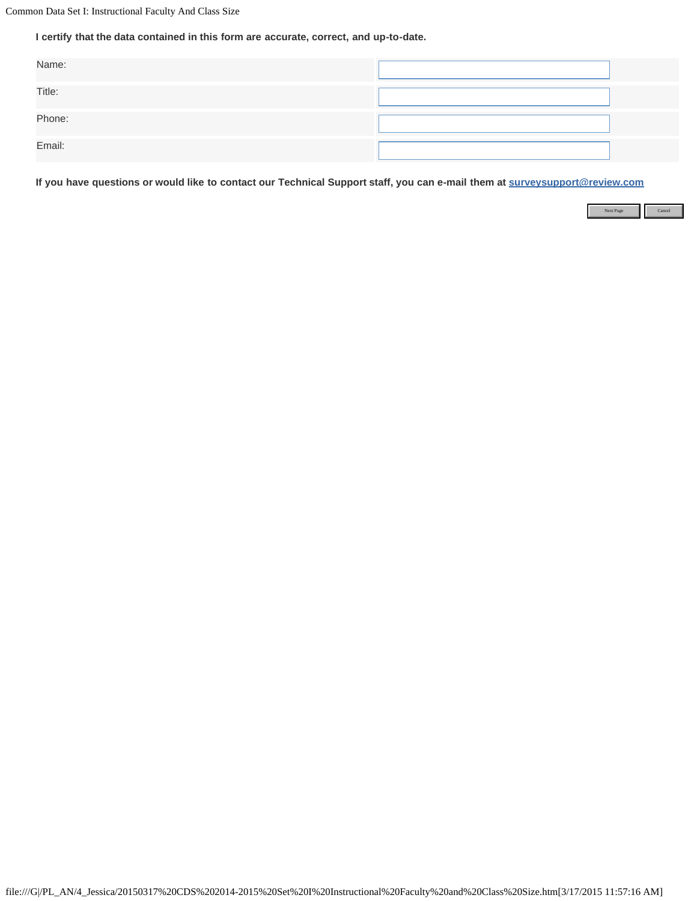Common Data Set I: Instructional Faculty And Class Size

**I certify that the data contained in this form are accurate, correct, and up-to-date.**

| Name:  |  |
|--------|--|
| Title: |  |
| Phone: |  |
| Email: |  |

**If you have questions or would like to contact our Technical Support staff, you can e-mail them at [surveysupport@review.com](mailto:surveysupport@review.com)**

Next Page Cancel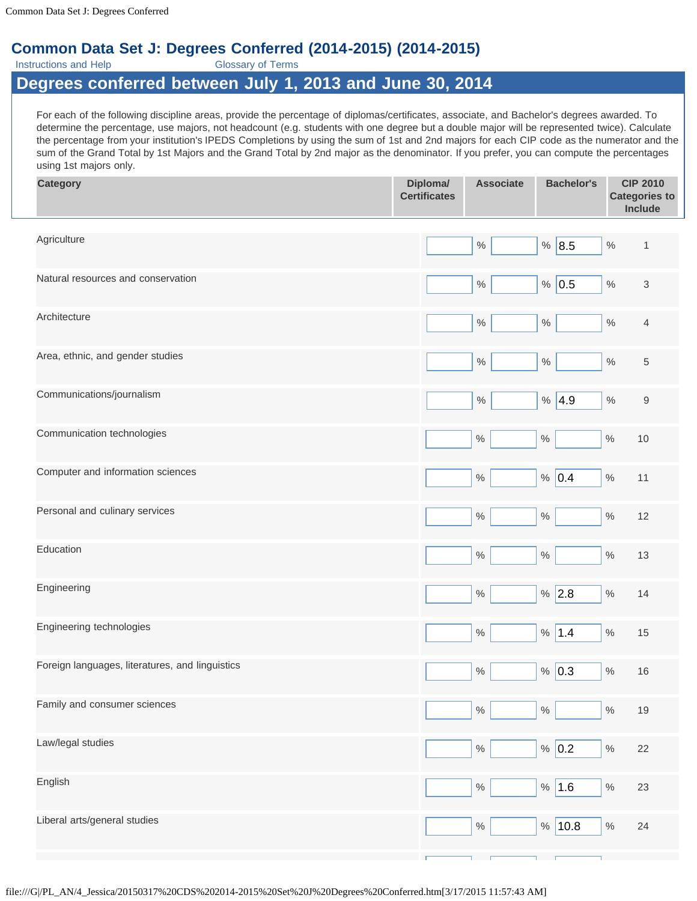### **Common Data Set J: Degrees Conferred (2014-2015) (2014-2015)**

[Instructions and Help](javascript:;) [Glossary of Terms](javascript:;)

### **Degrees conferred between July 1, 2013 and June 30, 2014**

For each of the following discipline areas, provide the percentage of diplomas/certificates, associate, and Bachelor's degrees awarded. To determine the percentage, use majors, not headcount (e.g. students with one degree but a double major will be represented twice). Calculate the percentage from your institution's IPEDS Completions by using the sum of 1st and 2nd majors for each CIP code as the numerator and the sum of the Grand Total by 1st Majors and the Grand Total by 2nd major as the denominator. If you prefer, you can compute the percentages using 1st majors only.

| <b>Category</b>                                 | Diploma/<br><b>Certificates</b> | <b>Associate</b> | <b>Bachelor's</b> | <b>CIP 2010</b><br><b>Categories to</b><br>Include |
|-------------------------------------------------|---------------------------------|------------------|-------------------|----------------------------------------------------|
| Agriculture                                     |                                 | $\%$             | % 8.5             | $\%$<br>$\mathbf{1}$                               |
| Natural resources and conservation              |                                 | $\%$             | % $ 0.5 $         | $\%$<br>$\ensuremath{\mathsf{3}}$                  |
| Architecture                                    |                                 | $\%$             | $\%$              | $\%$<br>$\overline{4}$                             |
| Area, ethnic, and gender studies                |                                 | $\%$             | $\%$              | $\%$<br>$\,$ 5 $\,$                                |
| Communications/journalism                       |                                 | $\%$             | % 4.9             | $\%$<br>$\hbox{9}$                                 |
| Communication technologies                      |                                 | $\%$             | $\%$              | $\%$<br>$10$                                       |
| Computer and information sciences               |                                 | $\%$             | $\%$<br> 0.4      | $\%$<br>11                                         |
| Personal and culinary services                  |                                 | $\%$             | $\%$              | $\%$<br>12                                         |
| Education                                       |                                 | $\%$             | $\%$              | $\%$<br>13                                         |
| Engineering                                     |                                 | $\%$             | % 2.8             | $\%$<br>14                                         |
| Engineering technologies                        |                                 | $\%$             | $\%$<br> 1.4      | $\%$<br>15                                         |
| Foreign languages, literatures, and linguistics |                                 | $\%$             | 0.3 <br>$\%$      | $\%$<br>16                                         |
| Family and consumer sciences                    |                                 | $\%$             | $\%$              | $\%$<br>19                                         |
| Law/legal studies                               |                                 | $\%$             | % $ 0.2 $         | $\frac{1}{2}$<br>22                                |
| English                                         |                                 | $\%$             | 1.6<br>$\%$       | $\%$<br>23                                         |
| Liberal arts/general studies                    |                                 | $\%$             | % $10.8$          | $\%$<br>24                                         |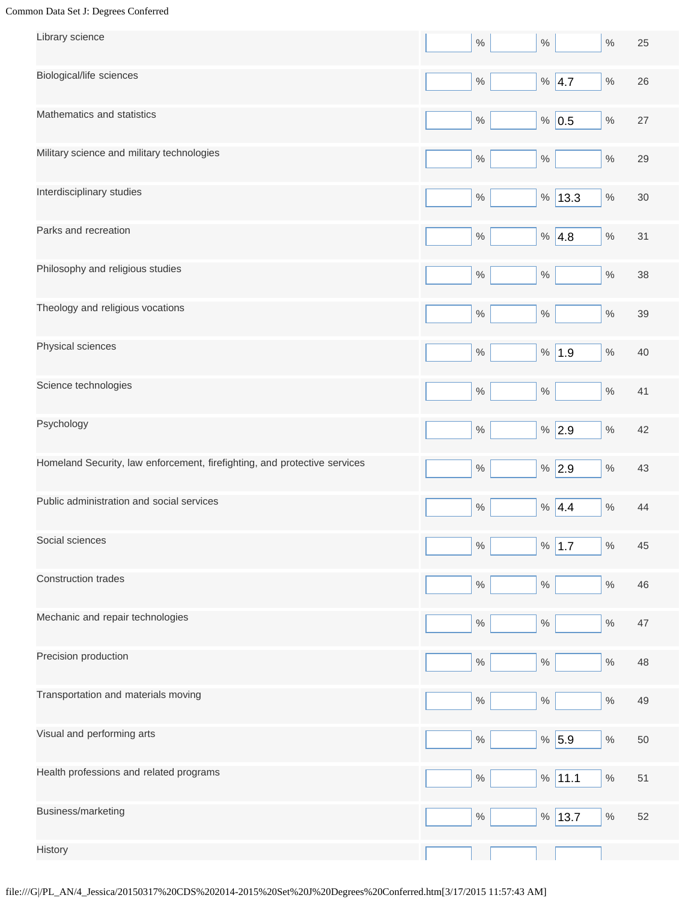#### Common Data Set J: Degrees Conferred

| Library science                                                           | $\%$ | $\%$ |         | $\%$ | 25 |
|---------------------------------------------------------------------------|------|------|---------|------|----|
| Biological/life sciences                                                  | $\%$ | $\%$ | 4.7     | $\%$ | 26 |
| Mathematics and statistics                                                | $\%$ | $\%$ | 0.5     | $\%$ | 27 |
| Military science and military technologies                                | $\%$ | $\%$ |         | $\%$ | 29 |
| Interdisciplinary studies                                                 | $\%$ | $\%$ | 13.3    | $\%$ | 30 |
| Parks and recreation                                                      | $\%$ | $\%$ | 4.8     | $\%$ | 31 |
| Philosophy and religious studies                                          | $\%$ | $\%$ |         | $\%$ | 38 |
| Theology and religious vocations                                          | $\%$ | $\%$ |         | $\%$ | 39 |
| Physical sciences                                                         | $\%$ | $\%$ | $1.9$   | $\%$ | 40 |
| Science technologies                                                      | $\%$ | $\%$ |         | $\%$ | 41 |
| Psychology                                                                | $\%$ | $\%$ | 2.9     | $\%$ | 42 |
| Homeland Security, law enforcement, firefighting, and protective services | $\%$ | $\%$ | 2.9     | $\%$ | 43 |
| Public administration and social services                                 | $\%$ | $\%$ | 4.4     | $\%$ | 44 |
| Social sciences                                                           | $\%$ | $\%$ | 1.7     | $\%$ | 45 |
| <b>Construction trades</b>                                                | $\%$ | $\%$ |         | $\%$ | 46 |
| Mechanic and repair technologies                                          | $\%$ | $\%$ |         | $\%$ | 47 |
| Precision production                                                      | $\%$ | $\%$ |         | $\%$ | 48 |
| Transportation and materials moving                                       | $\%$ | $\%$ |         | $\%$ | 49 |
| Visual and performing arts                                                | $\%$ |      | % $5.9$ | $\%$ | 50 |
| Health professions and related programs                                   | $\%$ |      | % 11.1  | $\%$ | 51 |
| Business/marketing                                                        | $\%$ | $\%$ | 13.7    | $\%$ | 52 |
| History                                                                   |      |      |         |      |    |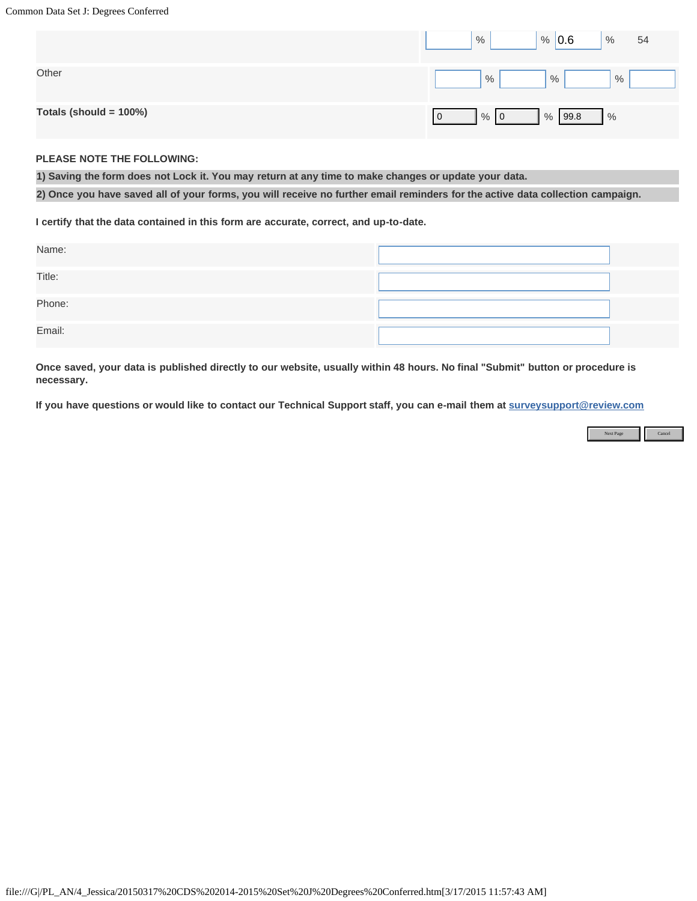|                            | % 0.6<br>$\%$<br>$\%$<br>54                         |
|----------------------------|-----------------------------------------------------|
| Other                      | $\%$<br>$\%$<br>$\%$                                |
| Totals (should = $100\%$ ) | $%$ 99.8<br>$\frac{9}{6}$<br>$\%$<br>$\overline{0}$ |

#### **PLEASE NOTE THE FOLLOWING:**

**1) Saving the form does not Lock it. You may return at any time to make changes or update your data.**

**2) Once you have saved all of your forms, you will receive no further email reminders for the active data collection campaign.**

**I certify that the data contained in this form are accurate, correct, and up-to-date.**

| Name:  |  |
|--------|--|
| Title: |  |
| Phone: |  |
| Email: |  |

**Once saved, your data is published directly to our website, usually within 48 hours. No final "Submit" button or procedure is necessary.**

**If you have questions or would like to contact our Technical Support staff, you can e-mail them at [surveysupport@review.com](mailto:surveysupport@review.com)**

Next Page Cancel